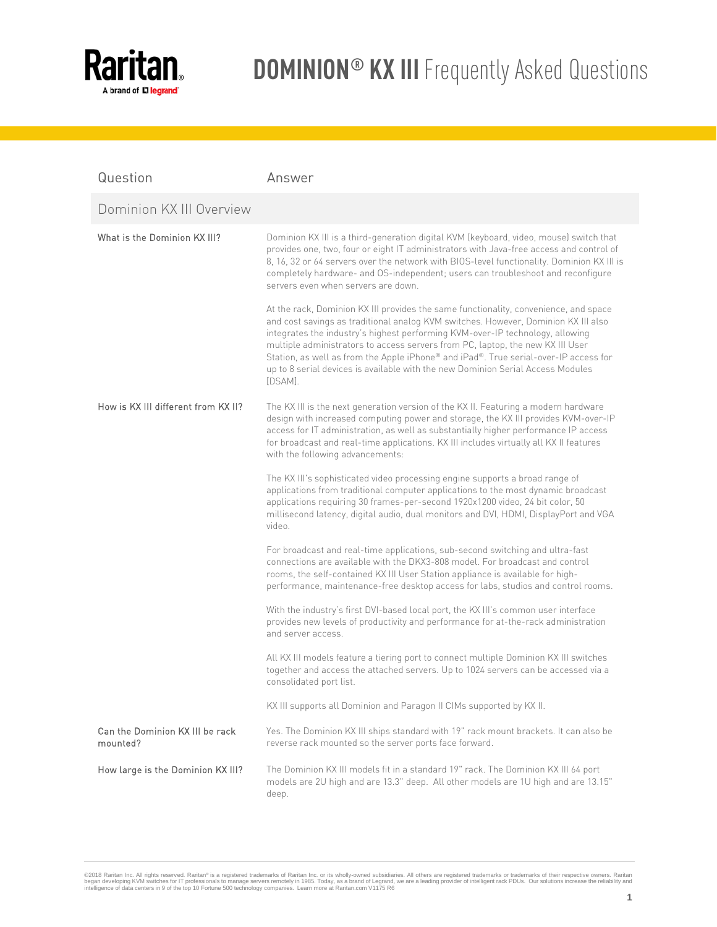

| Question                                    | Answer                                                                                                                                                                                                                                                                                                                                                                                                                                                                                                                              |
|---------------------------------------------|-------------------------------------------------------------------------------------------------------------------------------------------------------------------------------------------------------------------------------------------------------------------------------------------------------------------------------------------------------------------------------------------------------------------------------------------------------------------------------------------------------------------------------------|
| Dominion KX III Overview                    |                                                                                                                                                                                                                                                                                                                                                                                                                                                                                                                                     |
| What is the Dominion KX III?                | Dominion KX III is a third-generation digital KVM (keyboard, video, mouse) switch that<br>provides one, two, four or eight IT administrators with Java-free access and control of<br>8, 16, 32 or 64 servers over the network with BIOS-level functionality. Dominion KX III is<br>completely hardware- and OS-independent; users can troubleshoot and reconfigure<br>servers even when servers are down.                                                                                                                           |
|                                             | At the rack, Dominion KX III provides the same functionality, convenience, and space<br>and cost savings as traditional analog KVM switches. However, Dominion KX III also<br>integrates the industry's highest performing KVM-over-IP technology, allowing<br>multiple administrators to access servers from PC, laptop, the new KX III User<br>Station, as well as from the Apple iPhone® and iPad®. True serial-over-IP access for<br>up to 8 serial devices is available with the new Dominion Serial Access Modules<br>[DSAM]. |
| How is KX III different from KX II?         | The KX III is the next generation version of the KX II. Featuring a modern hardware<br>design with increased computing power and storage, the KX III provides KVM-over-IP<br>access for IT administration, as well as substantially higher performance IP access<br>for broadcast and real-time applications. KX III includes virtually all KX II features<br>with the following advancements:                                                                                                                                      |
|                                             | The KX III's sophisticated video processing engine supports a broad range of<br>applications from traditional computer applications to the most dynamic broadcast<br>applications requiring 30 frames-per-second 1920x1200 video, 24 bit color, 50<br>millisecond latency, digital audio, dual monitors and DVI, HDMI, DisplayPort and VGA<br>video.                                                                                                                                                                                |
|                                             | For broadcast and real-time applications, sub-second switching and ultra-fast<br>connections are available with the DKX3-808 model. For broadcast and control<br>rooms, the self-contained KX III User Station appliance is available for high-<br>performance, maintenance-free desktop access for labs, studios and control rooms.                                                                                                                                                                                                |
|                                             | With the industry's first DVI-based local port, the KX III's common user interface<br>provides new levels of productivity and performance for at-the-rack administration<br>and server access.                                                                                                                                                                                                                                                                                                                                      |
|                                             | All KX III models feature a tiering port to connect multiple Dominion KX III switches<br>together and access the attached servers. Up to 1024 servers can be accessed via a<br>consolidated port list.                                                                                                                                                                                                                                                                                                                              |
|                                             | KX III supports all Dominion and Paragon II CIMs supported by KX II.                                                                                                                                                                                                                                                                                                                                                                                                                                                                |
| Can the Dominion KX III be rack<br>mounted? | Yes. The Dominion KX III ships standard with 19" rack mount brackets. It can also be<br>reverse rack mounted so the server ports face forward.                                                                                                                                                                                                                                                                                                                                                                                      |
| How large is the Dominion KX III?           | The Dominion KX III models fit in a standard 19" rack. The Dominion KX III 64 port<br>models are 2U high and are 13.3" deep. All other models are 1U high and are 13.15"<br>deep.                                                                                                                                                                                                                                                                                                                                                   |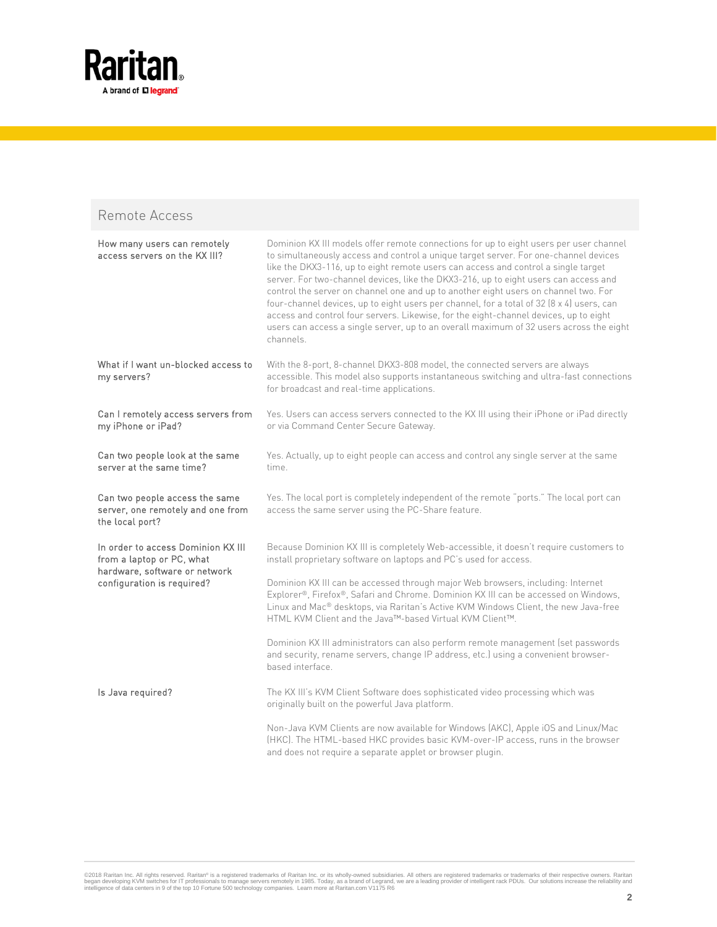

### Remote Access

| How many users can remotely<br>access servers on the KX III?                                                                   | Dominion KX III models offer remote connections for up to eight users per user channel<br>to simultaneously access and control a unique target server. For one-channel devices<br>like the DKX3-116, up to eight remote users can access and control a single target<br>server. For two-channel devices, like the DKX3-216, up to eight users can access and<br>control the server on channel one and up to another eight users on channel two. For<br>four-channel devices, up to eight users per channel, for a total of 32 (8 x 4) users, can<br>access and control four servers. Likewise, for the eight-channel devices, up to eight<br>users can access a single server, up to an overall maximum of 32 users across the eight<br>channels. |
|--------------------------------------------------------------------------------------------------------------------------------|---------------------------------------------------------------------------------------------------------------------------------------------------------------------------------------------------------------------------------------------------------------------------------------------------------------------------------------------------------------------------------------------------------------------------------------------------------------------------------------------------------------------------------------------------------------------------------------------------------------------------------------------------------------------------------------------------------------------------------------------------|
| What if I want un-blocked access to<br>my servers?                                                                             | With the 8-port, 8-channel DKX3-808 model, the connected servers are always<br>accessible. This model also supports instantaneous switching and ultra-fast connections<br>for broadcast and real-time applications.                                                                                                                                                                                                                                                                                                                                                                                                                                                                                                                               |
| Can I remotely access servers from<br>my iPhone or iPad?                                                                       | Yes. Users can access servers connected to the KX III using their iPhone or iPad directly<br>or via Command Center Secure Gateway.                                                                                                                                                                                                                                                                                                                                                                                                                                                                                                                                                                                                                |
| Can two people look at the same<br>server at the same time?                                                                    | Yes. Actually, up to eight people can access and control any single server at the same<br>time.                                                                                                                                                                                                                                                                                                                                                                                                                                                                                                                                                                                                                                                   |
| Can two people access the same<br>server, one remotely and one from<br>the local port?                                         | Yes. The local port is completely independent of the remote "ports." The local port can<br>access the same server using the PC-Share feature.                                                                                                                                                                                                                                                                                                                                                                                                                                                                                                                                                                                                     |
| In order to access Dominion KX III<br>from a laptop or PC, what<br>hardware, software or network<br>configuration is required? | Because Dominion KX III is completely Web-accessible, it doesn't require customers to<br>install proprietary software on laptops and PC's used for access.                                                                                                                                                                                                                                                                                                                                                                                                                                                                                                                                                                                        |
|                                                                                                                                | Dominion KX III can be accessed through major Web browsers, including: Internet<br>Explorer®, Firefox®, Safari and Chrome. Dominion KX III can be accessed on Windows,<br>Linux and Mac® desktops, via Raritan's Active KVM Windows Client, the new Java-free<br>HTML KVM Client and the Java™-based Virtual KVM Client™.                                                                                                                                                                                                                                                                                                                                                                                                                         |
|                                                                                                                                | Dominion KX III administrators can also perform remote management (set passwords<br>and security, rename servers, change IP address, etc.) using a convenient browser-<br>based interface.                                                                                                                                                                                                                                                                                                                                                                                                                                                                                                                                                        |
| Is Java required?                                                                                                              | The KX III's KVM Client Software does sophisticated video processing which was<br>originally built on the powerful Java platform.                                                                                                                                                                                                                                                                                                                                                                                                                                                                                                                                                                                                                 |
|                                                                                                                                | Non-Java KVM Clients are now available for Windows (AKC), Apple iOS and Linux/Mac<br>(HKC). The HTML-based HKC provides basic KVM-over-IP access, runs in the browser<br>and does not require a separate applet or browser plugin.                                                                                                                                                                                                                                                                                                                                                                                                                                                                                                                |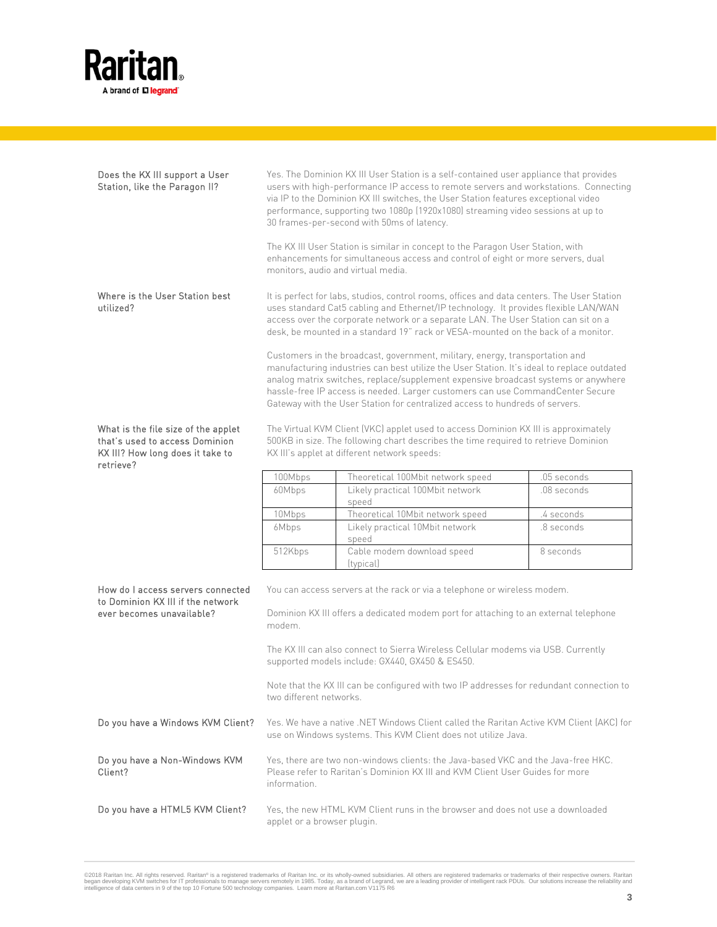

| Does the KX III support a User<br>Station, like the Paragon II?                                                        |                             | Yes. The Dominion KX III User Station is a self-contained user appliance that provides<br>users with high-performance IP access to remote servers and workstations. Connecting<br>via IP to the Dominion KX III switches, the User Station features exceptional video<br>performance, supporting two 1080p (1920x1080) streaming video sessions at up to<br>30 frames-per-second with 50ms of latency.                             |             |
|------------------------------------------------------------------------------------------------------------------------|-----------------------------|------------------------------------------------------------------------------------------------------------------------------------------------------------------------------------------------------------------------------------------------------------------------------------------------------------------------------------------------------------------------------------------------------------------------------------|-------------|
|                                                                                                                        |                             | The KX III User Station is similar in concept to the Paragon User Station, with<br>enhancements for simultaneous access and control of eight or more servers, dual<br>monitors, audio and virtual media.                                                                                                                                                                                                                           |             |
| Where is the User Station best<br>utilized?                                                                            |                             | It is perfect for labs, studios, control rooms, offices and data centers. The User Station<br>uses standard Cat5 cabling and Ethernet/IP technology. It provides flexible LAN/WAN<br>access over the corporate network or a separate LAN. The User Station can sit on a<br>desk, be mounted in a standard 19" rack or VESA-mounted on the back of a monitor.                                                                       |             |
|                                                                                                                        |                             | Customers in the broadcast, government, military, energy, transportation and<br>manufacturing industries can best utilize the User Station. It's ideal to replace outdated<br>analog matrix switches, replace/supplement expensive broadcast systems or anywhere<br>hassle-free IP access is needed. Larger customers can use CommandCenter Secure<br>Gateway with the User Station for centralized access to hundreds of servers. |             |
| What is the file size of the applet<br>that's used to access Dominion<br>KX III? How long does it take to<br>retrieve? |                             | The Virtual KVM Client (VKC) applet used to access Dominion KX III is approximately<br>500KB in size. The following chart describes the time required to retrieve Dominion<br>KX III's applet at different network speeds:                                                                                                                                                                                                         |             |
|                                                                                                                        | 100Mbps                     | Theoretical 100Mbit network speed                                                                                                                                                                                                                                                                                                                                                                                                  | .05 seconds |
|                                                                                                                        | 60Mbps                      | Likely practical 100Mbit network<br>speed                                                                                                                                                                                                                                                                                                                                                                                          | .08 seconds |
|                                                                                                                        | 10Mbps                      | Theoretical 10Mbit network speed                                                                                                                                                                                                                                                                                                                                                                                                   | .4 seconds  |
|                                                                                                                        | 6Mbps                       | Likely practical 10Mbit network<br>speed                                                                                                                                                                                                                                                                                                                                                                                           | .8 seconds  |
|                                                                                                                        | 512Kbps                     | Cable modem download speed<br>(typical)                                                                                                                                                                                                                                                                                                                                                                                            | 8 seconds   |
| How do I access servers connected<br>to Dominion KX III if the network<br>ever becomes unavailable?                    | modem.                      | You can access servers at the rack or via a telephone or wireless modem.<br>Dominion KX III offers a dedicated modem port for attaching to an external telephone                                                                                                                                                                                                                                                                   |             |
|                                                                                                                        |                             | The KX III can also connect to Sierra Wireless Cellular modems via USB. Currently<br>supported models include: GX440, GX450 & ES450.                                                                                                                                                                                                                                                                                               |             |
|                                                                                                                        | two different networks.     | Note that the KX III can be configured with two IP addresses for redundant connection to                                                                                                                                                                                                                                                                                                                                           |             |
| Do you have a Windows KVM Client?                                                                                      |                             | Yes. We have a native .NET Windows Client called the Raritan Active KVM Client (AKC) for<br>use on Windows systems. This KVM Client does not utilize Java.                                                                                                                                                                                                                                                                         |             |
| Do you have a Non-Windows KVM<br>Client?                                                                               | information.                | Yes, there are two non-windows clients: the Java-based VKC and the Java-free HKC.<br>Please refer to Raritan's Dominion KX III and KVM Client User Guides for more                                                                                                                                                                                                                                                                 |             |
| Do you have a HTML5 KVM Client?                                                                                        | applet or a browser plugin. | Yes, the new HTML KVM Client runs in the browser and does not use a downloaded                                                                                                                                                                                                                                                                                                                                                     |             |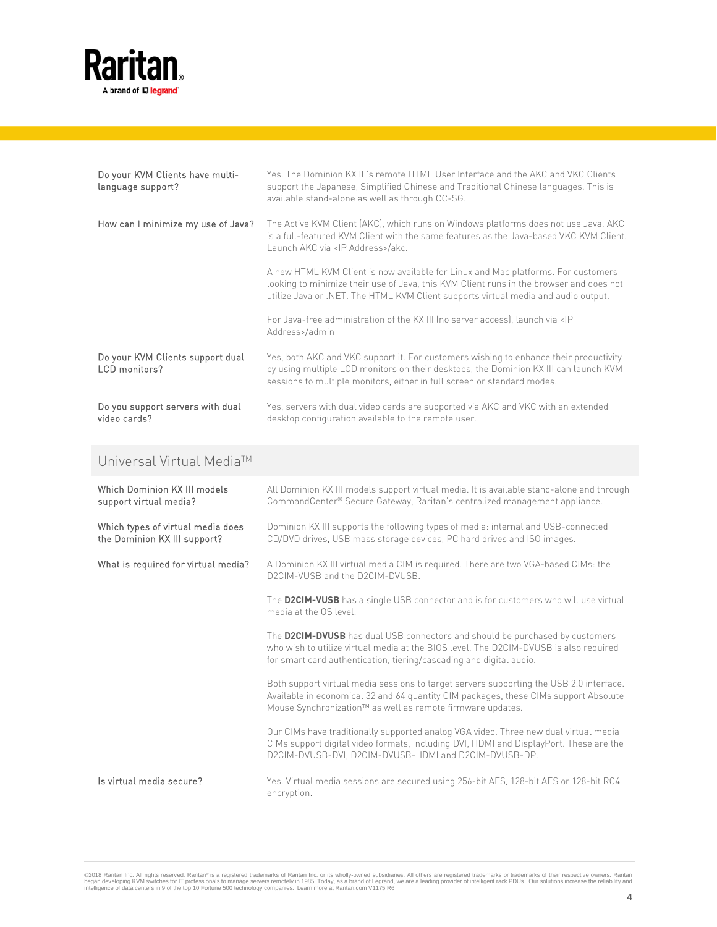

| Do your KVM Clients have multi-<br>language support? | Yes. The Dominion KX III's remote HTML User Interface and the AKC and VKC Clients<br>support the Japanese, Simplified Chinese and Traditional Chinese languages. This is<br>available stand-alone as well as through CC-SG.                                        |
|------------------------------------------------------|--------------------------------------------------------------------------------------------------------------------------------------------------------------------------------------------------------------------------------------------------------------------|
| How can I minimize my use of Java?                   | The Active KVM Client (AKC), which runs on Windows platforms does not use Java. AKC<br>is a full-featured KVM Client with the same features as the Java-based VKC KVM Client.<br>Launch AKC via <ip address="">/akc.</ip>                                          |
|                                                      | A new HTML KVM Client is now available for Linux and Mac platforms. For customers<br>looking to minimize their use of Java, this KVM Client runs in the browser and does not<br>utilize Java or .NET. The HTML KVM Client supports virtual media and audio output. |
|                                                      | For Java-free administration of the KX III (no server access), launch via <ip<br>Address&gt;/admin</ip<br>                                                                                                                                                         |
| Do your KVM Clients support dual<br>LCD monitors?    | Yes, both AKC and VKC support it. For customers wishing to enhance their productivity<br>by using multiple LCD monitors on their desktops, the Dominion KX III can launch KVM<br>sessions to multiple monitors, either in full screen or standard modes.           |
| Do you support servers with dual<br>video cards?     | Yes, servers with dual video cards are supported via AKC and VKC with an extended<br>desktop configuration available to the remote user.                                                                                                                           |

### Universal Virtual Media™

| Which Dominion KX III models<br>support virtual media?            | All Dominion KX III models support virtual media. It is available stand-alone and through<br>CommandCenter® Secure Gateway, Raritan's centralized management appliance.                                                                       |
|-------------------------------------------------------------------|-----------------------------------------------------------------------------------------------------------------------------------------------------------------------------------------------------------------------------------------------|
| Which types of virtual media does<br>the Dominion KX III support? | Dominion KX III supports the following types of media: internal and USB-connected<br>CD/DVD drives, USB mass storage devices, PC hard drives and ISO images.                                                                                  |
| What is required for virtual media?                               | A Dominion KX III virtual media CIM is required. There are two VGA-based CIMs: the<br>D2CIM-VUSB and the D2CIM-DVUSB.                                                                                                                         |
|                                                                   | The D2CIM-VUSB has a single USB connector and is for customers who will use virtual<br>media at the OS level.                                                                                                                                 |
|                                                                   | The D2CIM-DVUSB has dual USB connectors and should be purchased by customers<br>who wish to utilize virtual media at the BIOS level. The D2CIM-DVUSB is also required<br>for smart card authentication, tiering/cascading and digital audio.  |
|                                                                   | Both support virtual media sessions to target servers supporting the USB 2.0 interface.<br>Available in economical 32 and 64 quantity CIM packages, these CIMs support Absolute<br>Mouse Synchronization™ as well as remote firmware updates. |
|                                                                   | Our CIMs have traditionally supported analog VGA video. Three new dual virtual media<br>CIMs support digital video formats, including DVI, HDMI and DisplayPort. These are the<br>D2CIM-DVUSB-DVI, D2CIM-DVUSB-HDMI and D2CIM-DVUSB-DP.       |
| Is virtual media secure?                                          | Yes. Virtual media sessions are secured using 256-bit AES, 128-bit AES or 128-bit RC4<br>encryption.                                                                                                                                          |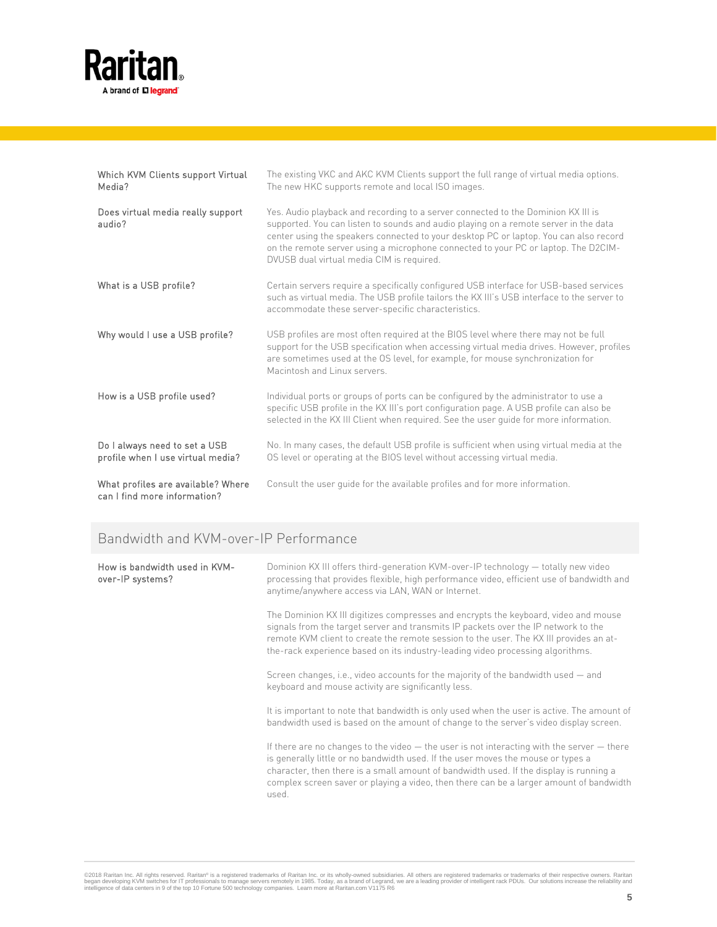

| Which KVM Clients support Virtual<br>Media?                        | The existing VKC and AKC KVM Clients support the full range of virtual media options.<br>The new HKC supports remote and local ISO images.                                                                                                                                                                                                                                                            |
|--------------------------------------------------------------------|-------------------------------------------------------------------------------------------------------------------------------------------------------------------------------------------------------------------------------------------------------------------------------------------------------------------------------------------------------------------------------------------------------|
| Does virtual media really support<br>audio?                        | Yes. Audio playback and recording to a server connected to the Dominion KX III is<br>supported. You can listen to sounds and audio playing on a remote server in the data<br>center using the speakers connected to your desktop PC or laptop. You can also record<br>on the remote server using a microphone connected to your PC or laptop. The D2CIM-<br>DVUSB dual virtual media CIM is required. |
| What is a USB profile?                                             | Certain servers require a specifically configured USB interface for USB-based services<br>such as virtual media. The USB profile tailors the KX III's USB interface to the server to<br>accommodate these server-specific characteristics.                                                                                                                                                            |
| Why would I use a USB profile?                                     | USB profiles are most often required at the BIOS level where there may not be full<br>support for the USB specification when accessing virtual media drives. However, profiles<br>are sometimes used at the OS level, for example, for mouse synchronization for<br>Macintosh and Linux servers.                                                                                                      |
| How is a USB profile used?                                         | Individual ports or groups of ports can be configured by the administrator to use a<br>specific USB profile in the KX III's port configuration page. A USB profile can also be<br>selected in the KX III Client when required. See the user guide for more information.                                                                                                                               |
| Do I always need to set a USB<br>profile when I use virtual media? | No. In many cases, the default USB profile is sufficient when using virtual media at the<br>OS level or operating at the BIOS level without accessing virtual media.                                                                                                                                                                                                                                  |
| What profiles are available? Where<br>can I find more information? | Consult the user quide for the available profiles and for more information.                                                                                                                                                                                                                                                                                                                           |

## Bandwidth and KVM-over-IP Performance

| How is bandwidth used in KVM-<br>over-IP systems? | Dominion KX III offers third-generation KVM-over-IP technology - totally new video<br>processing that provides flexible, high performance video, efficient use of bandwidth and<br>anytime/anywhere access via LAN, WAN or Internet.                                                                                                                                             |
|---------------------------------------------------|----------------------------------------------------------------------------------------------------------------------------------------------------------------------------------------------------------------------------------------------------------------------------------------------------------------------------------------------------------------------------------|
|                                                   | The Dominion KX III digitizes compresses and encrypts the keyboard, video and mouse<br>signals from the target server and transmits IP packets over the IP network to the<br>remote KVM client to create the remote session to the user. The KXIII provides an at-<br>the-rack experience based on its industry-leading video processing algorithms.                             |
|                                                   | Screen changes, i.e., video accounts for the majority of the bandwidth used – and<br>keyboard and mouse activity are significantly less.                                                                                                                                                                                                                                         |
|                                                   | It is important to note that bandwidth is only used when the user is active. The amount of<br>bandwidth used is based on the amount of change to the server's video display screen.                                                                                                                                                                                              |
|                                                   | If there are no changes to the video $-$ the user is not interacting with the server $-$ there<br>is generally little or no bandwidth used. If the user moves the mouse or types a<br>character, then there is a small amount of bandwidth used. If the display is running a<br>complex screen saver or playing a video, then there can be a larger amount of bandwidth<br>used. |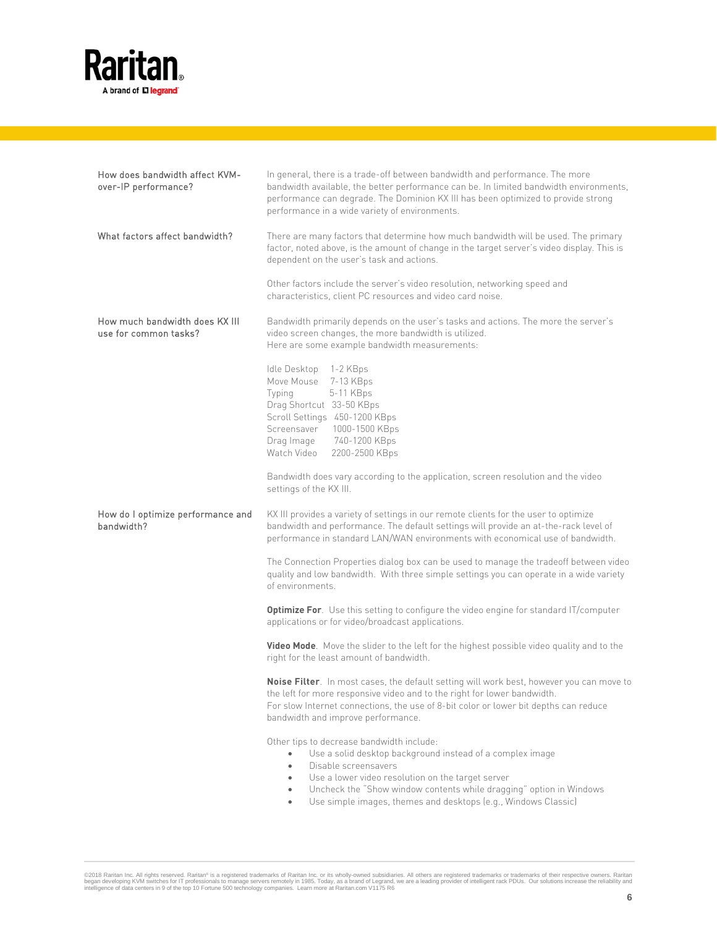

| How does bandwidth affect KVM-<br>over-IP performance?  | In general, there is a trade-off between bandwidth and performance. The more<br>bandwidth available, the better performance can be. In limited bandwidth environments,<br>performance can degrade. The Dominion KX III has been optimized to provide strong<br>performance in a wide variety of environments.                                                    |
|---------------------------------------------------------|------------------------------------------------------------------------------------------------------------------------------------------------------------------------------------------------------------------------------------------------------------------------------------------------------------------------------------------------------------------|
| What factors affect bandwidth?                          | There are many factors that determine how much bandwidth will be used. The primary<br>factor, noted above, is the amount of change in the target server's video display. This is<br>dependent on the user's task and actions.                                                                                                                                    |
|                                                         | Other factors include the server's video resolution, networking speed and<br>characteristics, client PC resources and video card noise.                                                                                                                                                                                                                          |
| How much bandwidth does KX III<br>use for common tasks? | Bandwidth primarily depends on the user's tasks and actions. The more the server's<br>video screen changes, the more bandwidth is utilized.<br>Here are some example bandwidth measurements:                                                                                                                                                                     |
|                                                         | Idle Desktop<br>1-2 KBps<br>Move Mouse<br>7-13 KBps<br>5-11 KBps<br>Typing<br>Drag Shortcut 33-50 KBps<br>Scroll Settings 450-1200 KBps<br>Screensaver 1000-1500 KBps<br>Drag Image<br>740-1200 KBps<br>Watch Video<br>2200-2500 KBps                                                                                                                            |
|                                                         | Bandwidth does vary according to the application, screen resolution and the video<br>settings of the KX III.                                                                                                                                                                                                                                                     |
| How do I optimize performance and<br>bandwidth?         | KX III provides a variety of settings in our remote clients for the user to optimize<br>bandwidth and performance. The default settings will provide an at-the-rack level of<br>performance in standard LAN/WAN environments with economical use of bandwidth.                                                                                                   |
|                                                         | The Connection Properties dialog box can be used to manage the tradeoff between video<br>quality and low bandwidth. With three simple settings you can operate in a wide variety<br>of environments.                                                                                                                                                             |
|                                                         | <b>Optimize For.</b> Use this setting to configure the video engine for standard IT/computer<br>applications or for video/broadcast applications.                                                                                                                                                                                                                |
|                                                         | <b>Video Mode.</b> Move the slider to the left for the highest possible video quality and to the<br>right for the least amount of bandwidth.                                                                                                                                                                                                                     |
|                                                         | Noise Filter. In most cases, the default setting will work best, however you can move to<br>the left for more responsive video and to the right for lower bandwidth.<br>For slow Internet connections, the use of 8-bit color or lower bit depths can reduce<br>bandwidth and improve performance.                                                               |
|                                                         | Other tips to decrease bandwidth include:<br>Use a solid desktop background instead of a complex image<br>Disable screensavers<br>$\bullet$<br>Use a lower video resolution on the target server<br>$\bullet$<br>Uncheck the "Show window contents while dragging" option in Windows<br>٠<br>Use simple images, themes and desktops (e.g., Windows Classic)<br>٠ |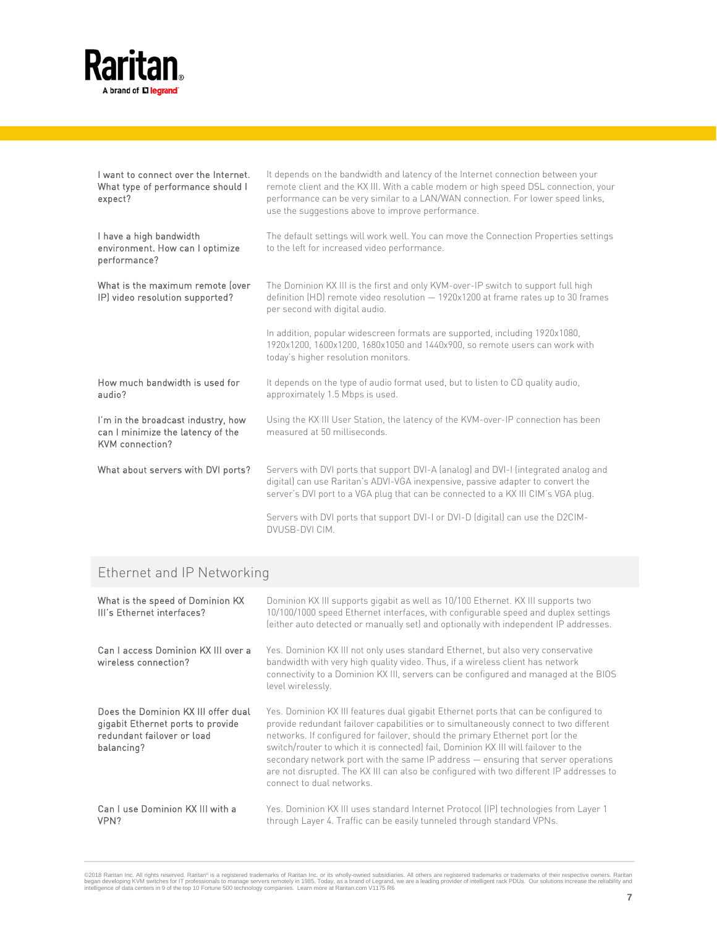

| I want to connect over the Internet.<br>What type of performance should I<br>expect?       | It depends on the bandwidth and latency of the Internet connection between your<br>remote client and the KX III. With a cable modem or high speed DSL connection, your<br>performance can be very similar to a LAN/WAN connection. For lower speed links,<br>use the suggestions above to improve performance. |
|--------------------------------------------------------------------------------------------|----------------------------------------------------------------------------------------------------------------------------------------------------------------------------------------------------------------------------------------------------------------------------------------------------------------|
| I have a high bandwidth<br>environment. How can I optimize<br>performance?                 | The default settings will work well. You can move the Connection Properties settings<br>to the left for increased video performance.                                                                                                                                                                           |
| What is the maximum remote lover<br>IP) video resolution supported?                        | The Dominion KX III is the first and only KVM-over-IP switch to support full high<br>definition $(HD)$ remote video resolution $-1920x1200$ at frame rates up to 30 frames<br>per second with digital audio.                                                                                                   |
|                                                                                            | In addition, popular widescreen formats are supported, including 1920x1080,<br>1920x1200, 1600x1200, 1680x1050 and 1440x900, so remote users can work with<br>today's higher resolution monitors.                                                                                                              |
| How much bandwidth is used for<br>audio?                                                   | It depends on the type of audio format used, but to listen to CD quality audio,<br>approximately 1.5 Mbps is used.                                                                                                                                                                                             |
| I'm in the broadcast industry, how<br>can I minimize the latency of the<br>KVM connection? | Using the KX III User Station, the latency of the KVM-over-IP connection has been<br>measured at 50 milliseconds.                                                                                                                                                                                              |
| What about servers with DVI ports?                                                         | Servers with DVI ports that support DVI-A (analog) and DVI-I (integrated analog and<br>digital) can use Raritan's ADVI-VGA inexpensive, passive adapter to convert the<br>server's DVI port to a VGA plug that can be connected to a KX III CIM's VGA plug.                                                    |
|                                                                                            | Servers with DVI ports that support DVI-I or DVI-D (digital) can use the D2CIM-<br>DVUSB-DVI CIM.                                                                                                                                                                                                              |

## Ethernet and IP Networking

| What is the speed of Dominion KX<br>III's Ethernet interfaces?                                                       | Dominion KX III supports gigabit as well as 10/100 Ethernet. KX III supports two<br>10/100/1000 speed Ethernet interfaces, with configurable speed and duplex settings<br>(either auto detected or manually set) and optionally with independent IP addresses.                                                                                                                                                                                                                                                                                                    |
|----------------------------------------------------------------------------------------------------------------------|-------------------------------------------------------------------------------------------------------------------------------------------------------------------------------------------------------------------------------------------------------------------------------------------------------------------------------------------------------------------------------------------------------------------------------------------------------------------------------------------------------------------------------------------------------------------|
| Can I access Dominion KX III over a<br>wireless connection?                                                          | Yes. Dominion KX III not only uses standard Ethernet, but also very conservative<br>bandwidth with very high quality video. Thus, if a wireless client has network<br>connectivity to a Dominion KX III, servers can be configured and managed at the BIOS<br>level wirelessly.                                                                                                                                                                                                                                                                                   |
| Does the Dominion KX III offer dual<br>gigabit Ethernet ports to provide<br>redundant failover or load<br>balancing? | Yes. Dominion KX III features dual gigabit Ethernet ports that can be configured to<br>provide redundant failover capabilities or to simultaneously connect to two different<br>networks. If configured for failover, should the primary Ethernet port (or the<br>switch/router to which it is connected) fail, Dominion KX III will failover to the<br>secondary network port with the same IP address – ensuring that server operations<br>are not disrupted. The KX III can also be configured with two different IP addresses to<br>connect to dual networks. |
| Can I use Dominion KX III with a<br>VPN?                                                                             | Yes. Dominion KX III uses standard Internet Protocol (IP) technologies from Layer 1<br>through Layer 4. Traffic can be easily tunneled through standard VPNs.                                                                                                                                                                                                                                                                                                                                                                                                     |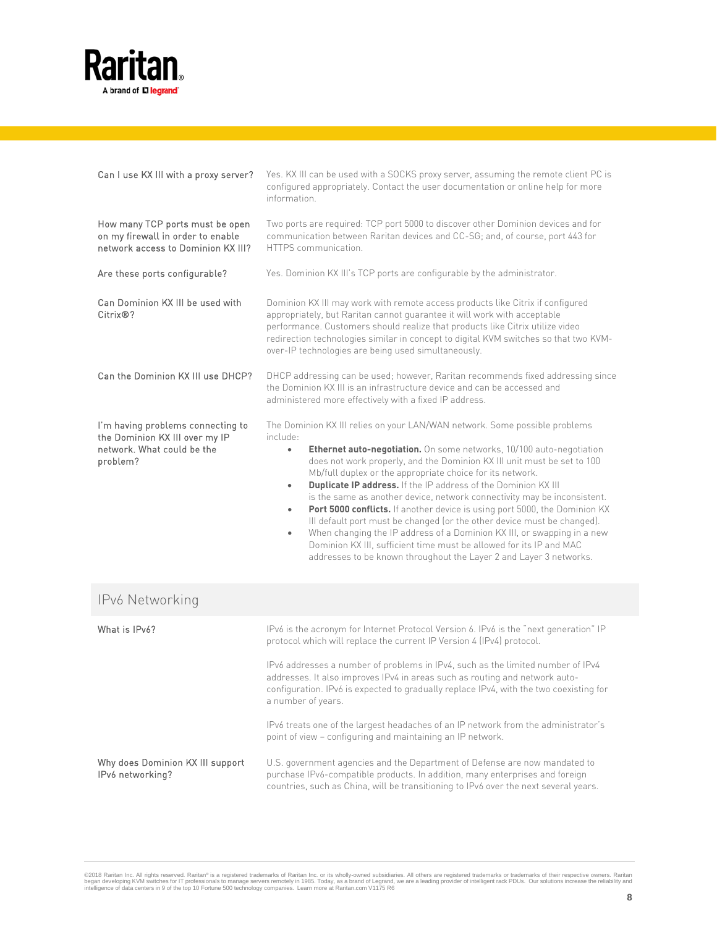

| Can I use KX III with a proxy server?                                                                         | Yes. KX III can be used with a SOCKS proxy server, assuming the remote client PC is<br>configured appropriately. Contact the user documentation or online help for more<br>information                                                                                                                                                                                                                                                                                                                                                                                                                                                                                                                                                                                                                                                                              |
|---------------------------------------------------------------------------------------------------------------|---------------------------------------------------------------------------------------------------------------------------------------------------------------------------------------------------------------------------------------------------------------------------------------------------------------------------------------------------------------------------------------------------------------------------------------------------------------------------------------------------------------------------------------------------------------------------------------------------------------------------------------------------------------------------------------------------------------------------------------------------------------------------------------------------------------------------------------------------------------------|
| How many TCP ports must be open<br>on my firewall in order to enable<br>network access to Dominion KX III?    | Two ports are required: TCP port 5000 to discover other Dominion devices and for<br>communication between Raritan devices and CC-SG; and, of course, port 443 for<br>HTTPS communication.                                                                                                                                                                                                                                                                                                                                                                                                                                                                                                                                                                                                                                                                           |
| Are these ports configurable?                                                                                 | Yes. Dominion KX III's TCP ports are configurable by the administrator.                                                                                                                                                                                                                                                                                                                                                                                                                                                                                                                                                                                                                                                                                                                                                                                             |
| Can Dominion KX III be used with<br>Citrix®?                                                                  | Dominion KX III may work with remote access products like Citrix if configured<br>appropriately, but Raritan cannot guarantee it will work with acceptable<br>performance. Customers should realize that products like Citrix utilize video<br>redirection technologies similar in concept to digital KVM switches so that two KVM-<br>over-IP technologies are being used simultaneously.                                                                                                                                                                                                                                                                                                                                                                                                                                                                          |
| Can the Dominion KX III use DHCP?                                                                             | DHCP addressing can be used; however, Raritan recommends fixed addressing since<br>the Dominion KX III is an infrastructure device and can be accessed and<br>administered more effectively with a fixed IP address.                                                                                                                                                                                                                                                                                                                                                                                                                                                                                                                                                                                                                                                |
| I'm having problems connecting to<br>the Dominion KX III over my IP<br>network. What could be the<br>problem? | The Dominion KX III relies on your LAN/WAN network. Some possible problems<br>include:<br>Ethernet auto-negotiation. On some networks, 10/100 auto-negotiation<br>$\bullet$<br>does not work properly, and the Dominion KX III unit must be set to 100<br>Mb/full duplex or the appropriate choice for its network.<br><b>Duplicate IP address.</b> If the IP address of the Dominion KX III<br>٠<br>is the same as another device, network connectivity may be inconsistent.<br>Port 5000 conflicts. If another device is using port 5000, the Dominion KX<br>٠<br>III default port must be changed (or the other device must be changed).<br>When changing the IP address of a Dominion KX III, or swapping in a new<br>Dominion KX III, sufficient time must be allowed for its IP and MAC<br>addresses to be known throughout the Layer 2 and Layer 3 networks. |
| IPv6 Networking                                                                                               |                                                                                                                                                                                                                                                                                                                                                                                                                                                                                                                                                                                                                                                                                                                                                                                                                                                                     |
| What is IPv6?                                                                                                 | IPv6 is the acronym for Internet Protocol Version 6. IPv6 is the "next generation" IP<br>protocol which will replace the current IP Version 4 (IPv4) protocol.                                                                                                                                                                                                                                                                                                                                                                                                                                                                                                                                                                                                                                                                                                      |
|                                                                                                               | IPv6 addresses a number of problems in IPv4, such as the limited number of IPv4<br>addresses. It also improves IPv4 in areas such as routing and network auto-<br>configuration. IPv6 is expected to gradually replace IPv4, with the two coexisting for<br>a number of years.                                                                                                                                                                                                                                                                                                                                                                                                                                                                                                                                                                                      |
|                                                                                                               | IPv6 treats one of the largest headaches of an IP network from the administrator's<br>point of view - configuring and maintaining an IP network.                                                                                                                                                                                                                                                                                                                                                                                                                                                                                                                                                                                                                                                                                                                    |
| Why does Dominion KX III support<br>IPv6 networking?                                                          | U.S. government agencies and the Department of Defense are now mandated to<br>purchase IPv6-compatible products. In addition, many enterprises and foreign                                                                                                                                                                                                                                                                                                                                                                                                                                                                                                                                                                                                                                                                                                          |

countries, such as China, will be transitioning to IPv6 over the next several years.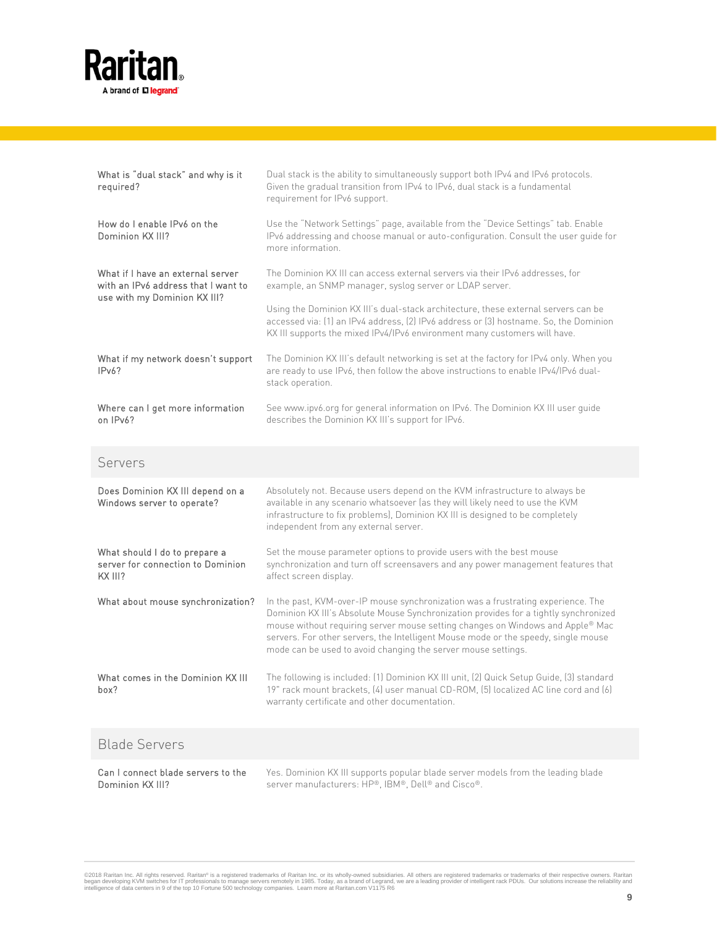

Dominion KX III?

| What is "dual stack" and why is it<br>required?                               | Dual stack is the ability to simultaneously support both IPv4 and IPv6 protocols.<br>Given the gradual transition from IPv4 to IPv6, dual stack is a fundamental<br>requirement for IPv6 support.                                                                                                                                                                                                                 |
|-------------------------------------------------------------------------------|-------------------------------------------------------------------------------------------------------------------------------------------------------------------------------------------------------------------------------------------------------------------------------------------------------------------------------------------------------------------------------------------------------------------|
| How do I enable IPv6 on the<br>Dominion KX III?                               | Use the "Network Settings" page, available from the "Device Settings" tab. Enable<br>IPv6 addressing and choose manual or auto-configuration. Consult the user guide for<br>more information                                                                                                                                                                                                                      |
| What if I have an external server<br>with an IPv6 address that I want to      | The Dominion KX III can access external servers via their IPv6 addresses, for<br>example, an SNMP manager, syslog server or LDAP server.                                                                                                                                                                                                                                                                          |
| use with my Dominion KX III?                                                  | Using the Dominion KX III's dual-stack architecture, these external servers can be<br>accessed via: (1) an IPv4 address, (2) IPv6 address or (3) hostname. So, the Dominion<br>KX III supports the mixed IPv4/IPv6 environment many customers will have.                                                                                                                                                          |
| What if my network doesn't support<br>IPv6?                                   | The Dominion KX III's default networking is set at the factory for IPv4 only. When you<br>are ready to use IPv6, then follow the above instructions to enable IPv4/IPv6 dual-<br>stack operation.                                                                                                                                                                                                                 |
| Where can I get more information<br>on IPv6?                                  | See www.ipv6.org for general information on IPv6. The Dominion KX III user guide<br>describes the Dominion KX III's support for IPv6.                                                                                                                                                                                                                                                                             |
| Servers                                                                       |                                                                                                                                                                                                                                                                                                                                                                                                                   |
| Does Dominion KX III depend on a<br>Windows server to operate?                | Absolutely not. Because users depend on the KVM infrastructure to always be<br>available in any scenario whatsoever (as they will likely need to use the KVM<br>infrastructure to fix problems), Dominion KX III is designed to be completely<br>independent from any external server.                                                                                                                            |
| What should I do to prepare a<br>server for connection to Dominion<br>KX III? | Set the mouse parameter options to provide users with the best mouse<br>synchronization and turn off screensavers and any power management features that<br>affect screen display.                                                                                                                                                                                                                                |
| What about mouse synchronization?                                             | In the past, KVM-over-IP mouse synchronization was a frustrating experience. The<br>Dominion KX III's Absolute Mouse Synchronization provides for a tightly synchronized<br>mouse without requiring server mouse setting changes on Windows and Apple® Mac<br>servers. For other servers, the Intelligent Mouse mode or the speedy, single mouse<br>mode can be used to avoid changing the server mouse settings. |
| What comes in the Dominion KX III<br>box?                                     | The following is included: (1) Dominion KX III unit, (2) Quick Setup Guide, (3) standard<br>19" rack mount brackets, [4] user manual CD-ROM, [5] localized AC line cord and [6]<br>warranty certificate and other documentation.                                                                                                                                                                                  |
| <b>Blade Servers</b>                                                          |                                                                                                                                                                                                                                                                                                                                                                                                                   |
| Can I connect blade servers to the                                            | Yes. Dominion KX III supports popular blade server models from the leading blade                                                                                                                                                                                                                                                                                                                                  |

©2018 Raritan Inc. All rights reserved. Raritan® is a registered trademarks of Raritan Inc. or its wholly-owned subsidiaries. All others are registered trademarks or trademarks of their respective owners. Raritan<br>began dev

server manufacturers: HP®, IBM®, Dell® and Cisco®.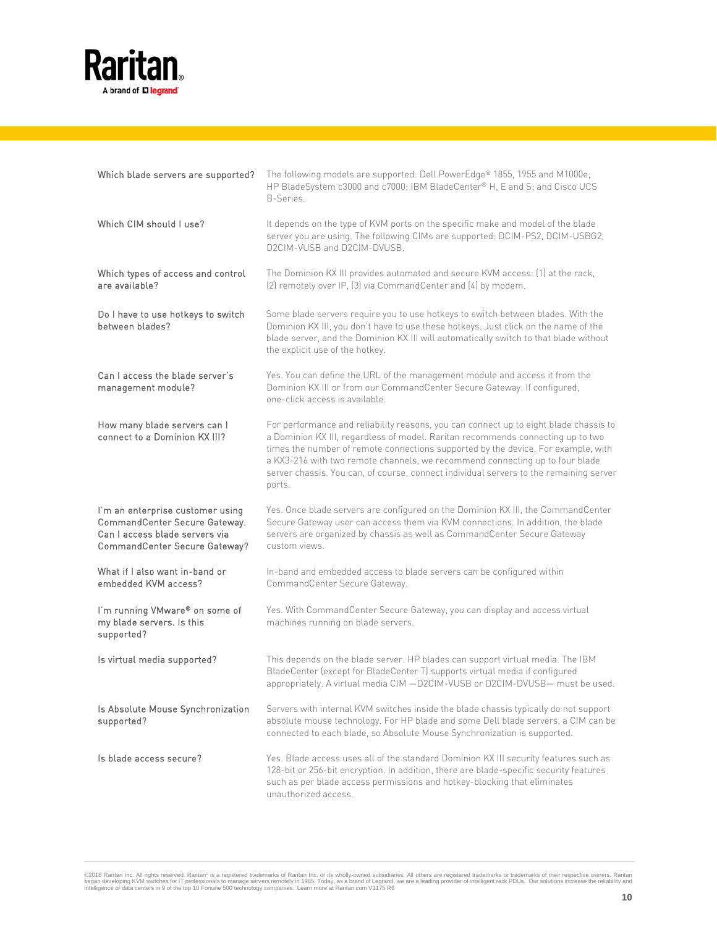

| Which blade servers are supported?                                                                                                   | The following models are supported: Dell PowerEdge® 1855, 1955 and M1000e;<br>HP BladeSystem c3000 and c7000; IBM BladeCenter® H, E and S; and Cisco UCS<br>B-Series.                                                                                                                                                                                                                                                                             |
|--------------------------------------------------------------------------------------------------------------------------------------|---------------------------------------------------------------------------------------------------------------------------------------------------------------------------------------------------------------------------------------------------------------------------------------------------------------------------------------------------------------------------------------------------------------------------------------------------|
| Which CIM should I use?                                                                                                              | It depends on the type of KVM ports on the specific make and model of the blade<br>server you are using. The following CIMs are supported: DCIM-PS2, DCIM-USBG2,<br>D2CIM-VUSB and D2CIM-DVUSB.                                                                                                                                                                                                                                                   |
| Which types of access and control<br>are available?                                                                                  | The Dominion KX III provides automated and secure KVM access: (1) at the rack,<br>[2] remotely over IP, [3] via CommandCenter and [4] by modem.                                                                                                                                                                                                                                                                                                   |
| Do I have to use hotkeys to switch<br>between blades?                                                                                | Some blade servers require you to use hotkeys to switch between blades. With the<br>Dominion KX III, you don't have to use these hotkeys. Just click on the name of the<br>blade server, and the Dominion KX III will automatically switch to that blade without<br>the explicit use of the hotkey.                                                                                                                                               |
| Can I access the blade server's<br>management module?                                                                                | Yes. You can define the URL of the management module and access it from the<br>Dominion KX III or from our CommandCenter Secure Gateway. If configured,<br>one-click access is available.                                                                                                                                                                                                                                                         |
| How many blade servers can I<br>connect to a Dominion KX III?                                                                        | For performance and reliability reasons, you can connect up to eight blade chassis to<br>a Dominion KX III, regardless of model. Raritan recommends connecting up to two<br>times the number of remote connections supported by the device. For example, with<br>a KX3-216 with two remote channels, we recommend connecting up to four blade<br>server chassis. You can, of course, connect individual servers to the remaining server<br>ports. |
| I'm an enterprise customer using<br>CommandCenter Secure Gateway.<br>Can I access blade servers via<br>CommandCenter Secure Gateway? | Yes. Once blade servers are configured on the Dominion KX III, the CommandCenter<br>Secure Gateway user can access them via KVM connections. In addition, the blade<br>servers are organized by chassis as well as CommandCenter Secure Gateway<br>custom views.                                                                                                                                                                                  |
| What if I also want in-band or<br>embedded KVM access?                                                                               | In-band and embedded access to blade servers can be configured within<br>CommandCenter Secure Gateway.                                                                                                                                                                                                                                                                                                                                            |
| I'm running VMware® on some of<br>my blade servers. Is this<br>supported?                                                            | Yes. With CommandCenter Secure Gateway, you can display and access virtual<br>machines running on blade servers.                                                                                                                                                                                                                                                                                                                                  |
| Is virtual media supported?                                                                                                          | This depends on the blade server. HP blades can support virtual media. The IBM<br>BladeCenter (except for BladeCenter T) supports virtual media if configured<br>appropriately. A virtual media CIM -D2CIM-VUSB or D2CIM-DVUSB- must be used.                                                                                                                                                                                                     |
| Is Absolute Mouse Synchronization<br>supported?                                                                                      | Servers with internal KVM switches inside the blade chassis typically do not support<br>absolute mouse technology. For HP blade and some Dell blade servers, a CIM can be<br>connected to each blade, so Absolute Mouse Synchronization is supported.                                                                                                                                                                                             |
| Is blade access secure?                                                                                                              | Yes. Blade access uses all of the standard Dominion KX III security features such as<br>128-bit or 256-bit encryption. In addition, there are blade-specific security features<br>such as per blade access permissions and hotkey-blocking that eliminates<br>unauthorized access.                                                                                                                                                                |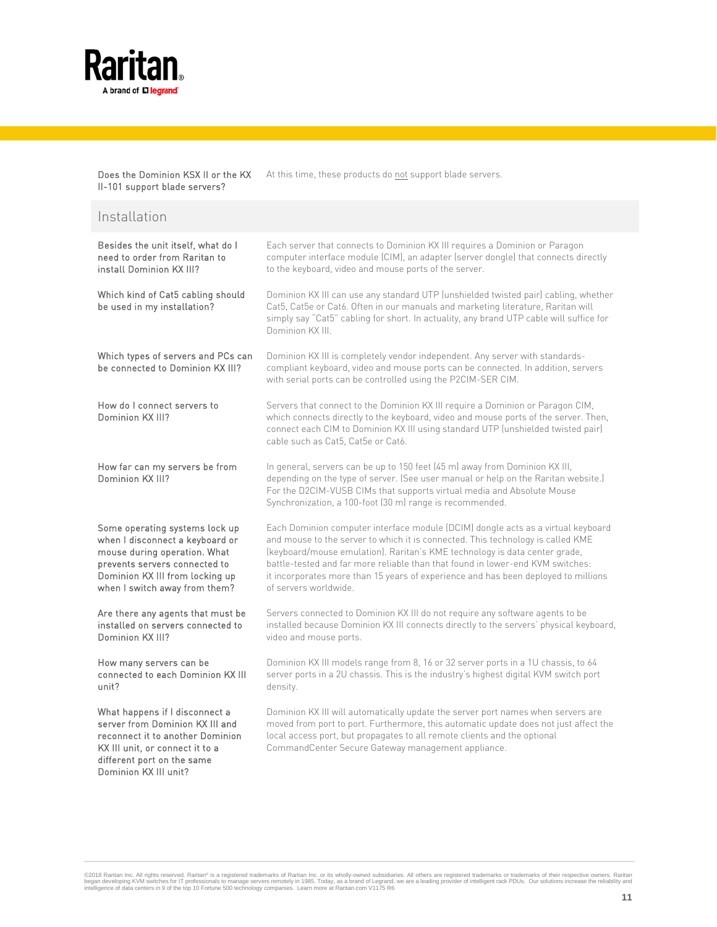

Does the Dominion KSX II or the KX II-101 support blade servers? At this time, these products do not support blade servers.

| Installation                                                                                                                                                                                           |                                                                                                                                                                                                                                                                                                                                                                                                                                                    |
|--------------------------------------------------------------------------------------------------------------------------------------------------------------------------------------------------------|----------------------------------------------------------------------------------------------------------------------------------------------------------------------------------------------------------------------------------------------------------------------------------------------------------------------------------------------------------------------------------------------------------------------------------------------------|
| Besides the unit itself, what do I<br>need to order from Raritan to<br>install Dominion KX III?                                                                                                        | Each server that connects to Dominion KX III requires a Dominion or Paragon<br>computer interface module (CIM), an adapter (server dongle) that connects directly<br>to the keyboard, video and mouse ports of the server.                                                                                                                                                                                                                         |
| Which kind of Cat5 cabling should<br>be used in my installation?                                                                                                                                       | Dominion KX III can use any standard UTP (unshielded twisted pair) cabling, whether<br>Cat5, Cat5e or Cat6. Often in our manuals and marketing literature, Raritan will<br>simply say "Cat5" cabling for short. In actuality, any brand UTP cable will suffice for<br>Dominion KX III.                                                                                                                                                             |
| Which types of servers and PCs can<br>be connected to Dominion KX III?                                                                                                                                 | Dominion KX III is completely vendor independent. Any server with standards-<br>compliant keyboard, video and mouse ports can be connected. In addition, servers<br>with serial ports can be controlled using the P2CIM-SER CIM.                                                                                                                                                                                                                   |
| How do I connect servers to<br>Dominion KX III?                                                                                                                                                        | Servers that connect to the Dominion KX III require a Dominion or Paragon CIM,<br>which connects directly to the keyboard, video and mouse ports of the server. Then,<br>connect each CIM to Dominion KX III using standard UTP (unshielded twisted pair)<br>cable such as Cat5, Cat5e or Cat6.                                                                                                                                                    |
| How far can my servers be from<br>Dominion KX III?                                                                                                                                                     | In general, servers can be up to 150 feet (45 m) away from Dominion KX III,<br>depending on the type of server. (See user manual or help on the Raritan website.)<br>For the D2CIM-VUSB CIMs that supports virtual media and Absolute Mouse<br>Synchronization, a 100-foot (30 m) range is recommended.                                                                                                                                            |
| Some operating systems lock up<br>when I disconnect a keyboard or<br>mouse during operation. What<br>prevents servers connected to<br>Dominion KX III from locking up<br>when I switch away from them? | Each Dominion computer interface module (DCIM) dongle acts as a virtual keyboard<br>and mouse to the server to which it is connected. This technology is called KME<br>(keyboard/mouse emulation). Raritan's KME technology is data center grade,<br>battle-tested and far more reliable than that found in lower-end KVM switches:<br>it incorporates more than 15 years of experience and has been deployed to millions<br>of servers worldwide. |
| Are there any agents that must be<br>installed on servers connected to<br>Dominion KX III?                                                                                                             | Servers connected to Dominion KX III do not require any software agents to be<br>installed because Dominion KX III connects directly to the servers' physical keyboard,<br>video and mouse ports.                                                                                                                                                                                                                                                  |
| How many servers can be<br>connected to each Dominion KX III<br>unit?                                                                                                                                  | Dominion KX III models range from 8, 16 or 32 server ports in a 1U chassis, to 64<br>server ports in a 2U chassis. This is the industry's highest digital KVM switch port<br>density.                                                                                                                                                                                                                                                              |
| What happens if I disconnect a<br>server from Dominion KX III and<br>reconnect it to another Dominion<br>KX III unit, or connect it to a<br>different port on the same<br>Dominion KX III unit?        | Dominion KX III will automatically update the server port names when servers are<br>moved from port to port. Furthermore, this automatic update does not just affect the<br>local access port, but propagates to all remote clients and the optional<br>CommandCenter Secure Gateway management appliance.                                                                                                                                         |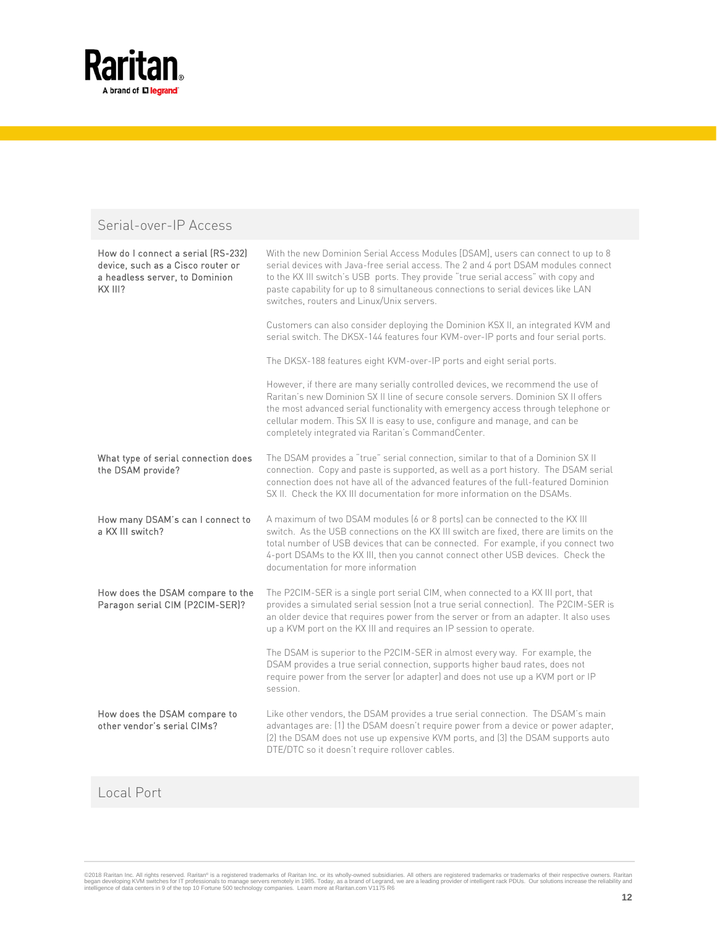

### Serial-over-IP Access

| How do I connect a serial (RS-232)<br>device, such as a Cisco router or<br>a headless server, to Dominion<br>KX III? | With the new Dominion Serial Access Modules [DSAM], users can connect to up to 8<br>serial devices with Java-free serial access. The 2 and 4 port DSAM modules connect<br>to the KX III switch's USB ports. They provide "true serial access" with copy and<br>paste capability for up to 8 simultaneous connections to serial devices like LAN<br>switches, routers and Linux/Unix servers.    |
|----------------------------------------------------------------------------------------------------------------------|-------------------------------------------------------------------------------------------------------------------------------------------------------------------------------------------------------------------------------------------------------------------------------------------------------------------------------------------------------------------------------------------------|
|                                                                                                                      | Customers can also consider deploying the Dominion KSX II, an integrated KVM and<br>serial switch. The DKSX-144 features four KVM-over-IP ports and four serial ports.                                                                                                                                                                                                                          |
|                                                                                                                      | The DKSX-188 features eight KVM-over-IP ports and eight serial ports.                                                                                                                                                                                                                                                                                                                           |
|                                                                                                                      | However, if there are many serially controlled devices, we recommend the use of<br>Raritan's new Dominion SX II line of secure console servers. Dominion SX II offers<br>the most advanced serial functionality with emergency access through telephone or<br>cellular modem. This SX II is easy to use, configure and manage, and can be<br>completely integrated via Raritan's CommandCenter. |
| What type of serial connection does<br>the DSAM provide?                                                             | The DSAM provides a "true" serial connection, similar to that of a Dominion SX II<br>connection. Copy and paste is supported, as well as a port history. The DSAM serial<br>connection does not have all of the advanced features of the full-featured Dominion<br>SX II. Check the KX III documentation for more information on the DSAMs.                                                     |
| How many DSAM's can I connect to<br>a KX III switch?                                                                 | A maximum of two DSAM modules (6 or 8 ports) can be connected to the KX III<br>switch. As the USB connections on the KX III switch are fixed, there are limits on the<br>total number of USB devices that can be connected. For example, if you connect two<br>4-port DSAMs to the KX III, then you cannot connect other USB devices. Check the<br>documentation for more information           |
| How does the DSAM compare to the<br>Paragon serial CIM (P2CIM-SER)?                                                  | The P2CIM-SER is a single port serial CIM, when connected to a KX III port, that<br>provides a simulated serial session (not a true serial connection). The P2CIM-SER is<br>an older device that requires power from the server or from an adapter. It also uses<br>up a KVM port on the KX III and requires an IP session to operate.                                                          |
|                                                                                                                      | The DSAM is superior to the P2CIM-SER in almost every way. For example, the<br>DSAM provides a true serial connection, supports higher baud rates, does not<br>require power from the server (or adapter) and does not use up a KVM port or IP<br>session.                                                                                                                                      |
| How does the DSAM compare to<br>other vendor's serial CIMs?                                                          | Like other vendors, the DSAM provides a true serial connection. The DSAM's main<br>advantages are: (1) the DSAM doesn't require power from a device or power adapter,<br>(2) the DSAM does not use up expensive KVM ports, and (3) the DSAM supports auto<br>DTE/DTC so it doesn't require rollover cables.                                                                                     |

## Local Port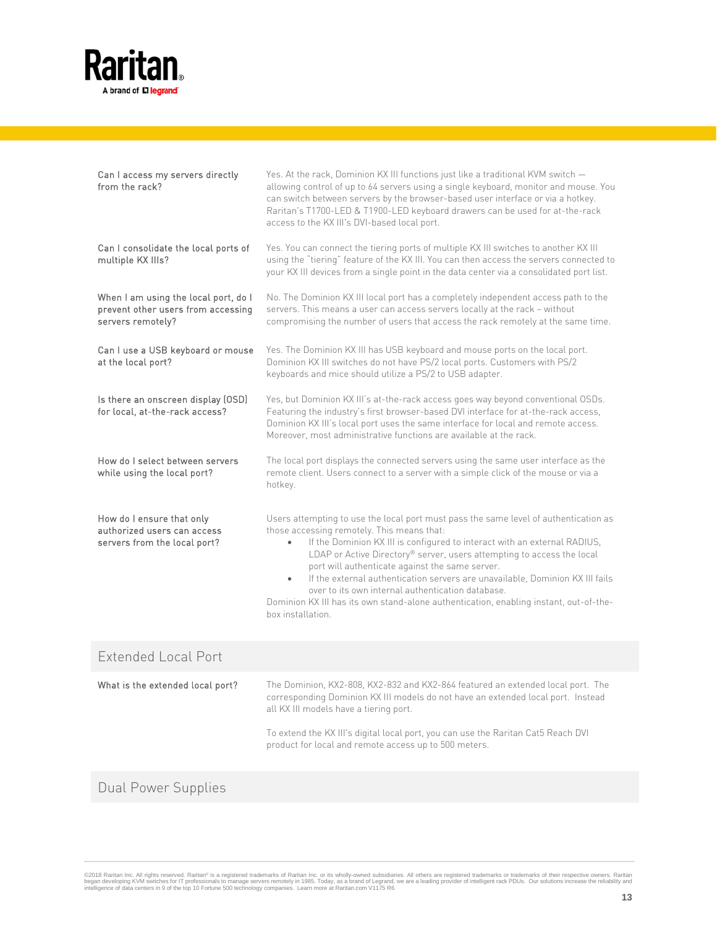

| Can I access my servers directly<br>from the rack?                                              | Yes. At the rack, Dominion KX III functions just like a traditional KVM switch -<br>allowing control of up to 64 servers using a single keyboard, monitor and mouse. You<br>can switch between servers by the browser-based user interface or via a hotkey.<br>Raritan's T1700-LED & T1900-LED keyboard drawers can be used for at-the-rack<br>access to the KX III's DVI-based local port.                                                                                                                                                                                                                                |
|-------------------------------------------------------------------------------------------------|----------------------------------------------------------------------------------------------------------------------------------------------------------------------------------------------------------------------------------------------------------------------------------------------------------------------------------------------------------------------------------------------------------------------------------------------------------------------------------------------------------------------------------------------------------------------------------------------------------------------------|
| Can I consolidate the local ports of<br>multiple KX IIIs?                                       | Yes. You can connect the tiering ports of multiple KX III switches to another KX III<br>using the "tiering" feature of the KX III. You can then access the servers connected to<br>your KX III devices from a single point in the data center via a consolidated port list.                                                                                                                                                                                                                                                                                                                                                |
| When I am using the local port, do I<br>prevent other users from accessing<br>servers remotely? | No. The Dominion KX III local port has a completely independent access path to the<br>servers. This means a user can access servers locally at the rack - without<br>compromising the number of users that access the rack remotely at the same time.                                                                                                                                                                                                                                                                                                                                                                      |
| Can I use a USB keyboard or mouse<br>at the local port?                                         | Yes. The Dominion KX III has USB keyboard and mouse ports on the local port.<br>Dominion KX III switches do not have PS/2 local ports. Customers with PS/2<br>keyboards and mice should utilize a PS/2 to USB adapter.                                                                                                                                                                                                                                                                                                                                                                                                     |
| Is there an onscreen display (OSD)<br>for local, at-the-rack access?                            | Yes, but Dominion KX III's at-the-rack access goes way beyond conventional OSDs.<br>Featuring the industry's first browser-based DVI interface for at-the-rack access,<br>Dominion KX III's local port uses the same interface for local and remote access.<br>Moreover, most administrative functions are available at the rack.                                                                                                                                                                                                                                                                                          |
| How do I select between servers<br>while using the local port?                                  | The local port displays the connected servers using the same user interface as the<br>remote client. Users connect to a server with a simple click of the mouse or via a<br>hotkey.                                                                                                                                                                                                                                                                                                                                                                                                                                        |
| How do I ensure that only<br>authorized users can access<br>servers from the local port?        | Users attempting to use the local port must pass the same level of authentication as<br>those accessing remotely. This means that:<br>If the Dominion KX III is configured to interact with an external RADIUS,<br>$\bullet$<br>LDAP or Active Directory® server, users attempting to access the local<br>port will authenticate against the same server.<br>If the external authentication servers are unavailable, Dominion KX III fails<br>$\bullet$<br>over to its own internal authentication database.<br>Dominion KX III has its own stand-alone authentication, enabling instant, out-of-the-<br>box installation. |

| Extended Local Port              |                                                                                                                                                                                                                                                                                                                                                             |
|----------------------------------|-------------------------------------------------------------------------------------------------------------------------------------------------------------------------------------------------------------------------------------------------------------------------------------------------------------------------------------------------------------|
| What is the extended local port? | The Dominion, KX2-808, KX2-832 and KX2-864 featured an extended local port. The<br>corresponding Dominion KX III models do not have an extended local port. Instead<br>all KX III models have a tiering port.<br>To extend the KX III's digital local port, you can use the Raritan Cat5 Reach DVI<br>product for local and remote access up to 500 meters. |

## Dual Power Supplies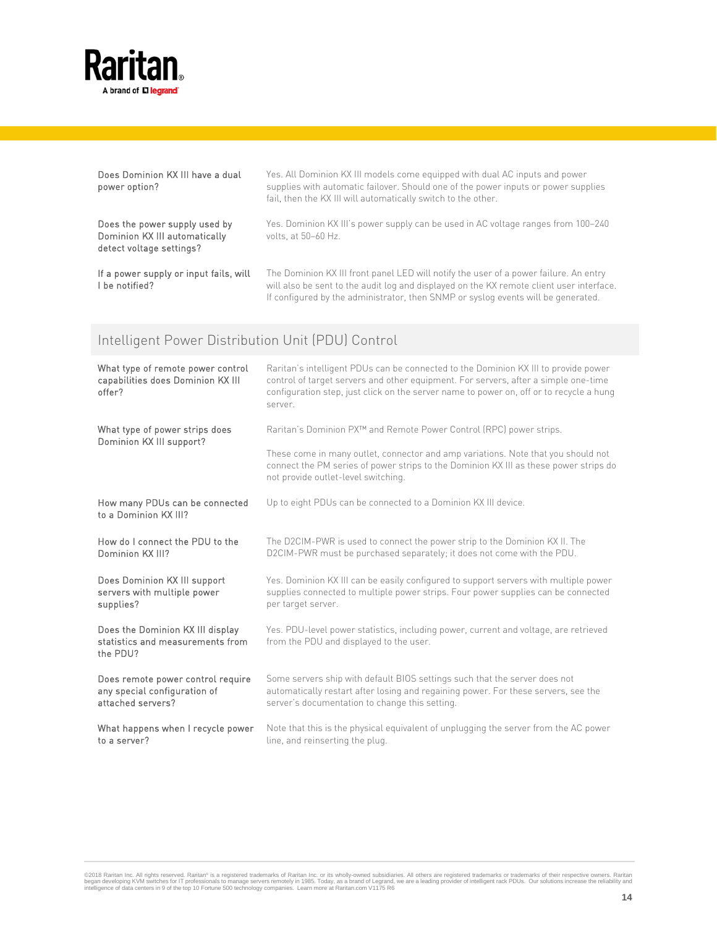

| Does Dominion KX III have a dual<br>power option?                                          | Yes. All Dominion KX III models come equipped with dual AC inputs and power<br>supplies with automatic failover. Should one of the power inputs or power supplies<br>fail, then the KX III will automatically switch to the other.                                     |
|--------------------------------------------------------------------------------------------|------------------------------------------------------------------------------------------------------------------------------------------------------------------------------------------------------------------------------------------------------------------------|
| Does the power supply used by<br>Dominion KX III automatically<br>detect voltage settings? | Yes. Dominion KX III's power supply can be used in AC voltage ranges from 100-240<br>volts, at 50-60 Hz.                                                                                                                                                               |
| If a power supply or input fails, will<br>I be notified?                                   | The Dominion KX III front panel LED will notify the user of a power failure. An entry<br>will also be sent to the audit log and displayed on the KX remote client user interface.<br>If configured by the administrator, then SNMP or syslog events will be generated. |

# Intelligent Power Distribution Unit (PDU) Control

| What type of remote power control<br>capabilities does Dominion KX III<br>offer?       | Raritan's intelligent PDUs can be connected to the Dominion KX III to provide power<br>control of target servers and other equipment. For servers, after a simple one-time<br>configuration step, just click on the server name to power on, off or to recycle a hung<br>server. |
|----------------------------------------------------------------------------------------|----------------------------------------------------------------------------------------------------------------------------------------------------------------------------------------------------------------------------------------------------------------------------------|
| What type of power strips does<br>Dominion KX III support?                             | Raritan's Dominion PX™ and Remote Power Control (RPC) power strips.                                                                                                                                                                                                              |
|                                                                                        | These come in many outlet, connector and amp variations. Note that you should not<br>connect the PM series of power strips to the Dominion KX III as these power strips do<br>not provide outlet-level switching.                                                                |
| How many PDUs can be connected<br>to a Dominion KX III?                                | Up to eight PDUs can be connected to a Dominion KX III device.                                                                                                                                                                                                                   |
| How do I connect the PDU to the<br>Dominion KX III?                                    | The D2CIM-PWR is used to connect the power strip to the Dominion KXII. The<br>D2CIM-PWR must be purchased separately; it does not come with the PDU.                                                                                                                             |
| Does Dominion KX III support<br>servers with multiple power<br>supplies?               | Yes. Dominion KX III can be easily configured to support servers with multiple power<br>supplies connected to multiple power strips. Four power supplies can be connected<br>per target server.                                                                                  |
| Does the Dominion KX III display<br>statistics and measurements from<br>the PDU?       | Yes. PDU-level power statistics, including power, current and voltage, are retrieved<br>from the PDU and displayed to the user.                                                                                                                                                  |
| Does remote power control require<br>any special configuration of<br>attached servers? | Some servers ship with default BIOS settings such that the server does not<br>automatically restart after losing and regaining power. For these servers, see the<br>server's documentation to change this setting.                                                               |
| What happens when I recycle power<br>to a server?                                      | Note that this is the physical equivalent of unplugging the server from the AC power<br>line, and reinserting the plug.                                                                                                                                                          |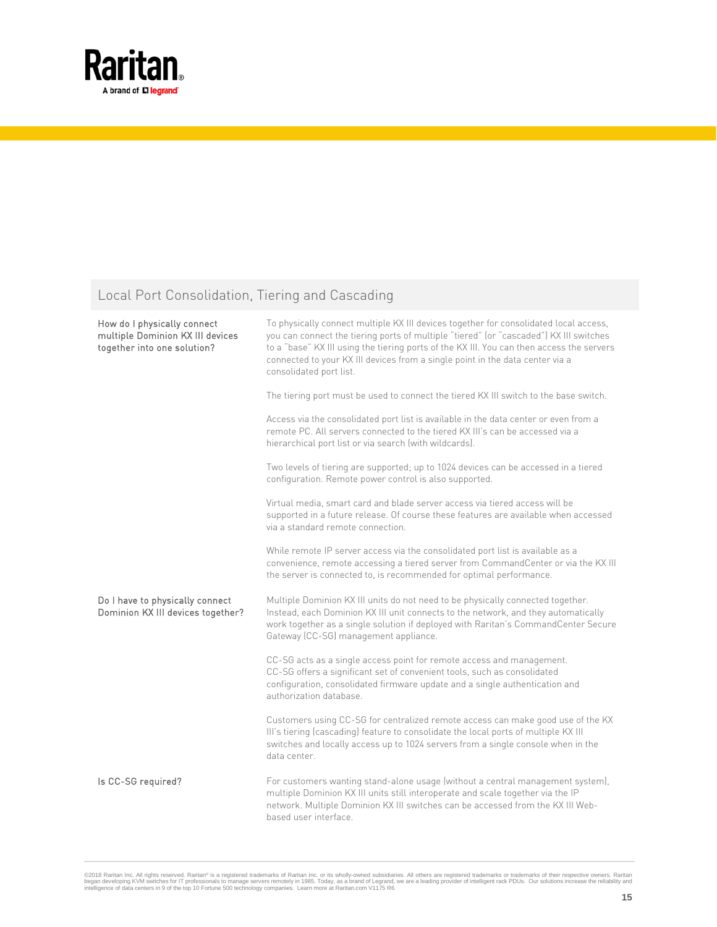

## Local Port Consolidation, Tiering and Cascading

| How do I physically connect<br>multiple Dominion KX III devices<br>together into one solution? | To physically connect multiple KX III devices together for consolidated local access,<br>you can connect the tiering ports of multiple "tiered" (or "cascaded") KX III switches<br>to a "base" KX III using the tiering ports of the KX III. You can then access the servers<br>connected to your KX III devices from a single point in the data center via a<br>consolidated port list. |
|------------------------------------------------------------------------------------------------|------------------------------------------------------------------------------------------------------------------------------------------------------------------------------------------------------------------------------------------------------------------------------------------------------------------------------------------------------------------------------------------|
|                                                                                                | The tiering port must be used to connect the tiered KX III switch to the base switch.                                                                                                                                                                                                                                                                                                    |
|                                                                                                | Access via the consolidated port list is available in the data center or even from a<br>remote PC. All servers connected to the tiered KX III's can be accessed via a<br>hierarchical port list or via search (with wildcards).                                                                                                                                                          |
|                                                                                                | Two levels of tiering are supported; up to 1024 devices can be accessed in a tiered<br>configuration. Remote power control is also supported.                                                                                                                                                                                                                                            |
|                                                                                                | Virtual media, smart card and blade server access via tiered access will be<br>supported in a future release. Of course these features are available when accessed<br>via a standard remote connection.                                                                                                                                                                                  |
|                                                                                                | While remote IP server access via the consolidated port list is available as a<br>convenience, remote accessing a tiered server from CommandCenter or via the KX III<br>the server is connected to, is recommended for optimal performance.                                                                                                                                              |
| Do I have to physically connect<br>Dominion KX III devices together?                           | Multiple Dominion KX III units do not need to be physically connected together.<br>Instead, each Dominion KX III unit connects to the network, and they automatically<br>work together as a single solution if deployed with Raritan's CommandCenter Secure<br>Gateway (CC-SG) management appliance.                                                                                     |
|                                                                                                | CC-SG acts as a single access point for remote access and management.<br>CC-SG offers a significant set of convenient tools, such as consolidated<br>configuration, consolidated firmware update and a single authentication and<br>authorization database.                                                                                                                              |
|                                                                                                | Customers using CC-SG for centralized remote access can make good use of the KX<br>III's tiering (cascading) feature to consolidate the local ports of multiple KX III<br>switches and locally access up to 1024 servers from a single console when in the<br>data center.                                                                                                               |
| Is CC-SG required?                                                                             | For customers wanting stand-alone usage (without a central management system),<br>multiple Dominion KX III units still interoperate and scale together via the IP<br>network. Multiple Dominion KX III switches can be accessed from the KX III Web-<br>based user interface.                                                                                                            |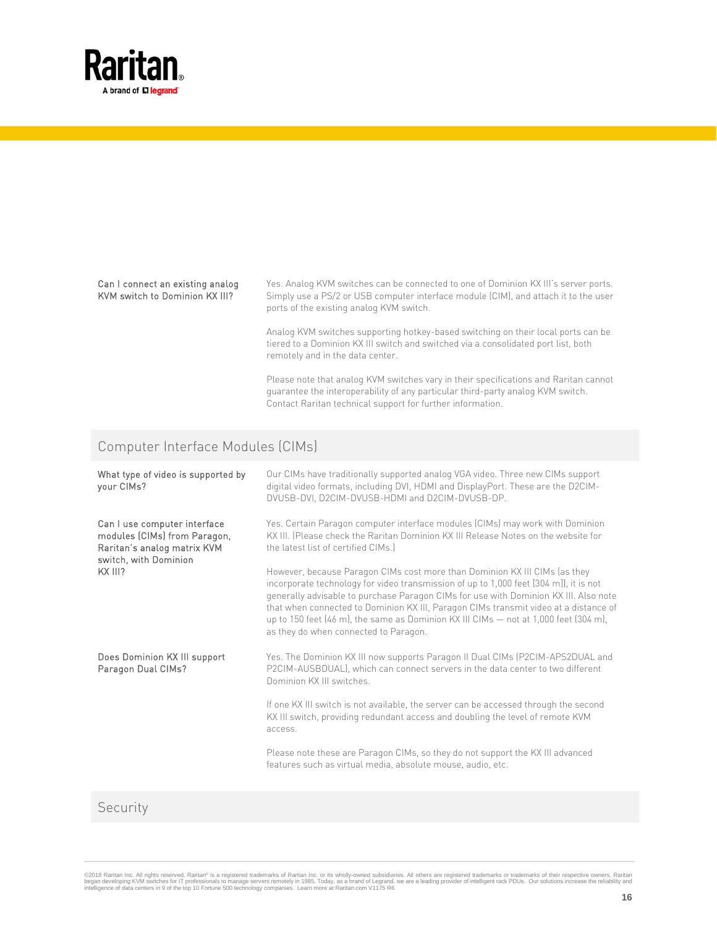

#### Can I connect an existing analog KVM switch to Dominion KX III?

Yes. Analog KVM switches can be connected to one of Dominion KX III's server ports. Simply use a PS/2 or USB computer interface module (CIM), and attach it to the user ports of the existing analog KVM switch.

Analog KVM switches supporting hotkey-based switching on their local ports can be tiered to a Dominion KX III switch and switched via a consolidated port list, both remotely and in the data center.

Please note that analog KVM switches vary in their specifications and Raritan cannot guarantee the interoperability of any particular third-party analog KVM switch. Contact Raritan technical support for further information.

### Computer Interface Modules (CIMs)

| What type of video is supported by<br>your CIMs?                                                                                | Our CIMs have traditionally supported analog VGA video. Three new CIMs support<br>digital video formats, including DVI, HDMI and DisplayPort. These are the D2CIM-<br>DVUSB-DVI, D2CIM-DVUSB-HDMI and D2CIM-DVUSB-DP.                                                                                                                                                                                                                                                                |
|---------------------------------------------------------------------------------------------------------------------------------|--------------------------------------------------------------------------------------------------------------------------------------------------------------------------------------------------------------------------------------------------------------------------------------------------------------------------------------------------------------------------------------------------------------------------------------------------------------------------------------|
| Can I use computer interface<br>modules (CIMs) from Paragon,<br>Raritan's analog matrix KVM<br>switch, with Dominion<br>KX III? | Yes. Certain Paragon computer interface modules (CIMs) may work with Dominion<br>KX III. [Please check the Raritan Dominion KX III Release Notes on the website for<br>the latest list of certified CIMs.)                                                                                                                                                                                                                                                                           |
|                                                                                                                                 | However, because Paragon CIMs cost more than Dominion KX III CIMs (as they<br>incorporate technology for video transmission of up to 1,000 feet [304 m]), it is not<br>generally advisable to purchase Paragon CIMs for use with Dominion KX III. Also note<br>that when connected to Dominion KX III, Paragon CIMs transmit video at a distance of<br>up to 150 feet (46 m), the same as Dominion KX III CIMs - not at 1,000 feet (304 m),<br>as they do when connected to Paragon. |
| Does Dominion KX III support<br>Paragon Dual CIMs?                                                                              | Yes. The Dominion KX III now supports Paragon II Dual CIMs (P2CIM-APS2DUAL and<br>P2CIM-AUSBDUAL), which can connect servers in the data center to two different<br>Dominion KX III switches.                                                                                                                                                                                                                                                                                        |
|                                                                                                                                 | If one KX III switch is not available, the server can be accessed through the second<br>KX III switch, providing redundant access and doubling the level of remote KVM<br>access.                                                                                                                                                                                                                                                                                                    |
|                                                                                                                                 | Please note these are Paragon CIMs, so they do not support the KX III advanced<br>features such as virtual media, absolute mouse, audio, etc.                                                                                                                                                                                                                                                                                                                                        |
|                                                                                                                                 |                                                                                                                                                                                                                                                                                                                                                                                                                                                                                      |

#### Security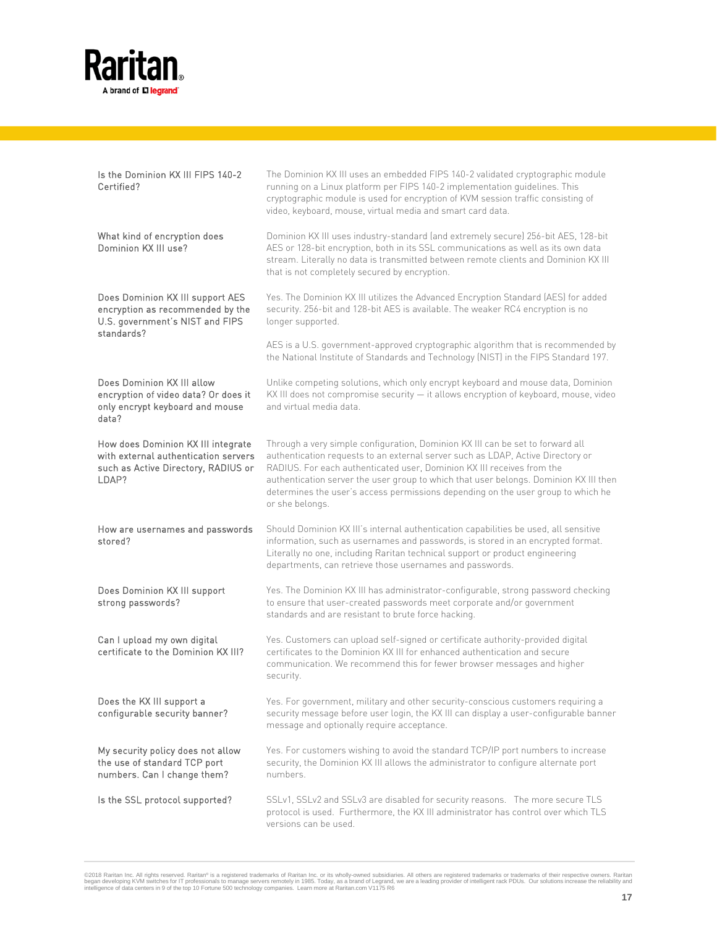

| Is the Dominion KX III FIPS 140-2<br>Certified?                                                                            | The Dominion KX III uses an embedded FIPS 140-2 validated cryptographic module<br>running on a Linux platform per FIPS 140-2 implementation guidelines. This<br>cryptographic module is used for encryption of KVM session traffic consisting of<br>video, keyboard, mouse, virtual media and smart card data.                                                                                                                              |
|----------------------------------------------------------------------------------------------------------------------------|---------------------------------------------------------------------------------------------------------------------------------------------------------------------------------------------------------------------------------------------------------------------------------------------------------------------------------------------------------------------------------------------------------------------------------------------|
| What kind of encryption does<br>Dominion KX III use?                                                                       | Dominion KX III uses industry-standard (and extremely secure) 256-bit AES, 128-bit<br>AES or 128-bit encryption, both in its SSL communications as well as its own data<br>stream. Literally no data is transmitted between remote clients and Dominion KX III<br>that is not completely secured by encryption.                                                                                                                             |
| Does Dominion KX III support AES<br>encryption as recommended by the<br>U.S. government's NIST and FIPS                    | Yes. The Dominion KX III utilizes the Advanced Encryption Standard (AES) for added<br>security. 256-bit and 128-bit AES is available. The weaker RC4 encryption is no<br>longer supported.                                                                                                                                                                                                                                                  |
| standards?                                                                                                                 | AES is a U.S. government-approved cryptographic algorithm that is recommended by<br>the National Institute of Standards and Technology (NIST) in the FIPS Standard 197.                                                                                                                                                                                                                                                                     |
| Does Dominion KX III allow<br>encryption of video data? Or does it<br>only encrypt keyboard and mouse<br>data?             | Unlike competing solutions, which only encrypt keyboard and mouse data, Dominion<br>KX III does not compromise security - it allows encryption of keyboard, mouse, video<br>and virtual media data.                                                                                                                                                                                                                                         |
| How does Dominion KX III integrate<br>with external authentication servers<br>such as Active Directory, RADIUS or<br>LDAP? | Through a very simple configuration, Dominion KX III can be set to forward all<br>authentication requests to an external server such as LDAP, Active Directory or<br>RADIUS. For each authenticated user, Dominion KX III receives from the<br>authentication server the user group to which that user belongs. Dominion KX III then<br>determines the user's access permissions depending on the user group to which he<br>or she belongs. |
| How are usernames and passwords<br>stored?                                                                                 | Should Dominion KX III's internal authentication capabilities be used, all sensitive<br>information, such as usernames and passwords, is stored in an encrypted format.<br>Literally no one, including Raritan technical support or product engineering<br>departments, can retrieve those usernames and passwords.                                                                                                                         |
| Does Dominion KX III support<br>strong passwords?                                                                          | Yes. The Dominion KX III has administrator-configurable, strong password checking<br>to ensure that user-created passwords meet corporate and/or government<br>standards and are resistant to brute force hacking.                                                                                                                                                                                                                          |
| Can I upload my own digital<br>certificate to the Dominion KX III?                                                         | Yes. Customers can upload self-signed or certificate authority-provided digital<br>certificates to the Dominion KX III for enhanced authentication and secure<br>communication. We recommend this for fewer browser messages and higher<br>security.                                                                                                                                                                                        |
| Does the KX III support a<br>configurable security banner?                                                                 | Yes. For government, military and other security-conscious customers requiring a<br>security message before user login, the KX III can display a user-configurable banner<br>message and optionally require acceptance.                                                                                                                                                                                                                     |
| My security policy does not allow<br>the use of standard TCP port<br>numbers. Can I change them?                           | Yes. For customers wishing to avoid the standard TCP/IP port numbers to increase<br>security, the Dominion KX III allows the administrator to configure alternate port<br>numbers.                                                                                                                                                                                                                                                          |
| Is the SSL protocol supported?                                                                                             | SSLv1, SSLv2 and SSLv3 are disabled for security reasons. The more secure TLS<br>protocol is used. Furthermore, the KX III administrator has control over which TLS<br>versions can be used.                                                                                                                                                                                                                                                |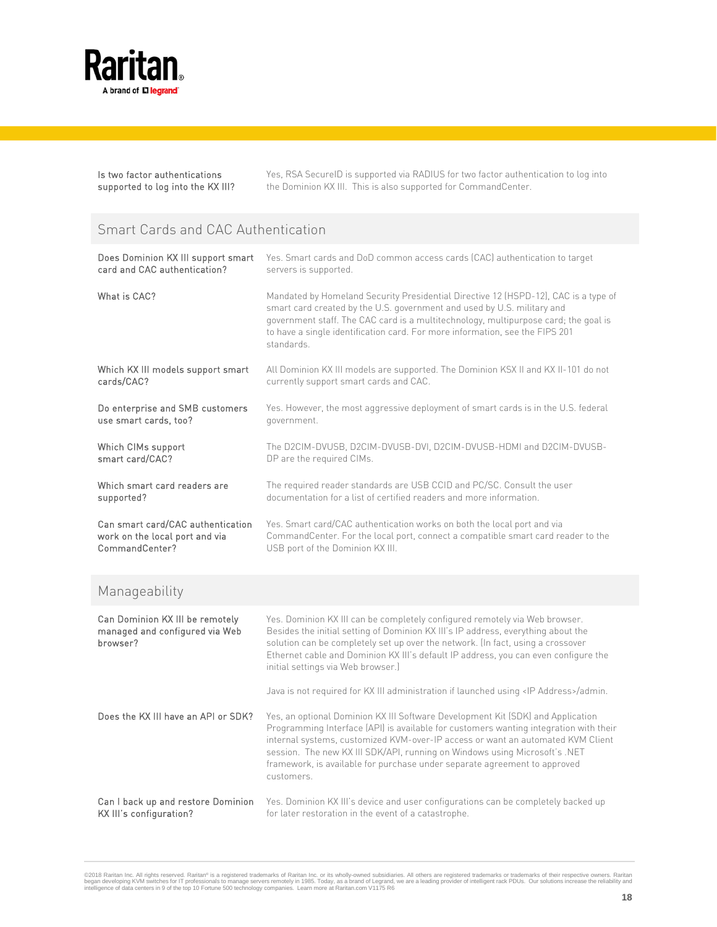

Is two factor authentications supported to log into the KX III? Yes, RSA SecureID is supported via RADIUS for two factor authentication to log into the Dominion KX III. This is also supported for CommandCenter.

### Smart Cards and CAC Authentication

| Does Dominion KX III support smart                                            | Yes. Smart cards and DoD common access cards (CAC) authentication to target                                                                                                                                                                                                                                                                                                                                                          |
|-------------------------------------------------------------------------------|--------------------------------------------------------------------------------------------------------------------------------------------------------------------------------------------------------------------------------------------------------------------------------------------------------------------------------------------------------------------------------------------------------------------------------------|
| card and CAC authentication?                                                  | servers is supported.                                                                                                                                                                                                                                                                                                                                                                                                                |
| What is CAC?                                                                  | Mandated by Homeland Security Presidential Directive 12 (HSPD-12), CAC is a type of<br>smart card created by the U.S. government and used by U.S. military and<br>government staff. The CAC card is a multitechnology, multipurpose card; the goal is<br>to have a single identification card. For more information, see the FIPS 201<br>standards.                                                                                  |
| Which KX III models support smart                                             | All Dominion KX III models are supported. The Dominion KSX II and KX II-101 do not                                                                                                                                                                                                                                                                                                                                                   |
| cards/CAC?                                                                    | currently support smart cards and CAC.                                                                                                                                                                                                                                                                                                                                                                                               |
| Do enterprise and SMB customers                                               | Yes. However, the most aggressive deployment of smart cards is in the U.S. federal                                                                                                                                                                                                                                                                                                                                                   |
| use smart cards, too?                                                         | government.                                                                                                                                                                                                                                                                                                                                                                                                                          |
| Which CIMs support                                                            | The D2CIM-DVUSB, D2CIM-DVUSB-DVI, D2CIM-DVUSB-HDMI and D2CIM-DVUSB-                                                                                                                                                                                                                                                                                                                                                                  |
| smart card/CAC?                                                               | DP are the required CIMs.                                                                                                                                                                                                                                                                                                                                                                                                            |
| Which smart card readers are                                                  | The required reader standards are USB CCID and PC/SC. Consult the user                                                                                                                                                                                                                                                                                                                                                               |
| supported?                                                                    | documentation for a list of certified readers and more information.                                                                                                                                                                                                                                                                                                                                                                  |
| Can smart card/CAC authentication                                             | Yes. Smart card/CAC authentication works on both the local port and via                                                                                                                                                                                                                                                                                                                                                              |
| work on the local port and via                                                | CommandCenter. For the local port, connect a compatible smart card reader to the                                                                                                                                                                                                                                                                                                                                                     |
| CommandCenter?                                                                | USB port of the Dominion KX III.                                                                                                                                                                                                                                                                                                                                                                                                     |
| Manageability                                                                 |                                                                                                                                                                                                                                                                                                                                                                                                                                      |
| Can Dominion KX III be remotely<br>managed and configured via Web<br>browser? | Yes. Dominion KX III can be completely configured remotely via Web browser.<br>Besides the initial setting of Dominion KX III's IP address, everything about the<br>solution can be completely set up over the network. (In fact, using a crossover<br>Ethernet cable and Dominion KX III's default IP address, you can even configure the<br>initial settings via Web browser.)                                                     |
|                                                                               | Java is not required for KX III administration if launched using <ip address="">/admin.</ip>                                                                                                                                                                                                                                                                                                                                         |
| Does the KX III have an API or SDK?                                           | Yes, an optional Dominion KX III Software Development Kit (SDK) and Application<br>Programming Interface (API) is available for customers wanting integration with their<br>internal systems, customized KVM-over-IP access or want an automated KVM Client<br>session. The new KX III SDK/API, running on Windows using Microsoft's .NET<br>framework, is available for purchase under separate agreement to approved<br>customers. |
| Can I back up and restore Dominion                                            | Yes. Dominion KX III's device and user configurations can be completely backed up                                                                                                                                                                                                                                                                                                                                                    |
| KX III's configuration?                                                       | for later restoration in the event of a catastrophe.                                                                                                                                                                                                                                                                                                                                                                                 |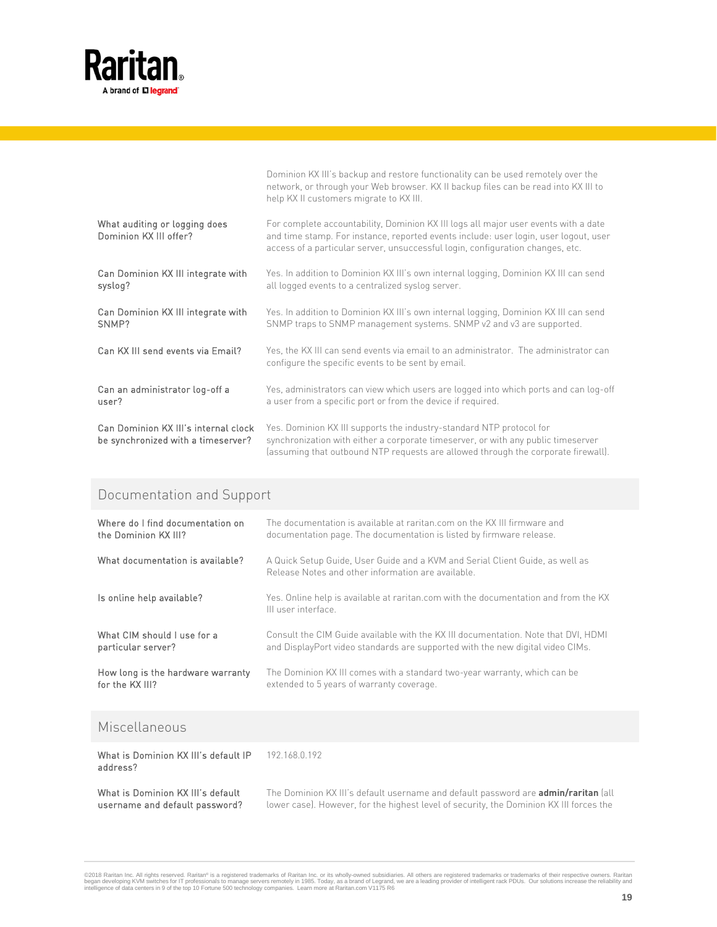

|                                                                            | Dominion KX III's backup and restore functionality can be used remotely over the<br>network, or through your Web browser. KX II backup files can be read into KX III to<br>help KX II customers migrate to KX III.                                            |
|----------------------------------------------------------------------------|---------------------------------------------------------------------------------------------------------------------------------------------------------------------------------------------------------------------------------------------------------------|
| What auditing or logging does<br>Dominion KX III offer?                    | For complete accountability, Dominion KX III logs all major user events with a date<br>and time stamp. For instance, reported events include: user login, user logout, user<br>access of a particular server, unsuccessful login, configuration changes, etc. |
| Can Dominion KX III integrate with<br>syslog?                              | Yes. In addition to Dominion KX III's own internal logging, Dominion KX III can send<br>all logged events to a centralized syslog server.                                                                                                                     |
| Can Dominion KX III integrate with<br>SNMP?                                | Yes. In addition to Dominion KX III's own internal logging, Dominion KX III can send<br>SNMP traps to SNMP management systems. SNMP v2 and v3 are supported.                                                                                                  |
| Can KX III send events via Email?                                          | Yes, the KX III can send events via email to an administrator. The administrator can<br>configure the specific events to be sent by email.                                                                                                                    |
| Can an administrator log-off a<br>user?                                    | Yes, administrators can view which users are logged into which ports and can log-off<br>a user from a specific port or from the device if required.                                                                                                           |
| Can Dominion KX III's internal clock<br>be synchronized with a timeserver? | Yes. Dominion KX III supports the industry-standard NTP protocol for<br>synchronization with either a corporate timeserver, or with any public timeserver<br>(assuming that outbound NTP requests are allowed through the corporate firewall).                |

## Documentation and Support

| Where do I find documentation on  | The documentation is available at raritan.com on the KX III firmware and                                                            |
|-----------------------------------|-------------------------------------------------------------------------------------------------------------------------------------|
| the Dominion KX III?              | documentation page. The documentation is listed by firmware release.                                                                |
| What documentation is available?  | A Quick Setup Guide, User Guide and a KVM and Serial Client Guide, as well as<br>Release Notes and other information are available. |
| Is online help available?         | Yes. Online help is available at raritan.com with the documentation and from the KX<br>III user interface.                          |
| What CIM should I use for a       | Consult the CIM Guide available with the KX III documentation. Note that DVI, HDMI                                                  |
| particular server?                | and DisplayPort video standards are supported with the new digital video CIMs.                                                      |
| How long is the hardware warranty | The Dominion KX III comes with a standard two-year warranty, which can be                                                           |
| for the KX III?                   | extended to 5 years of warranty coverage.                                                                                           |
| $\cdots$                          |                                                                                                                                     |

### Miscellaneous

| What is Dominion KX III's default IP<br>address? | 192.168.0.192                                                                             |
|--------------------------------------------------|-------------------------------------------------------------------------------------------|
| What is Dominion KX III's default                | The Dominion KX III's default username and default password are <b>admin/raritan</b> (all |
| username and default password?                   | lower case). However, for the highest level of security, the Dominion KX III forces the   |